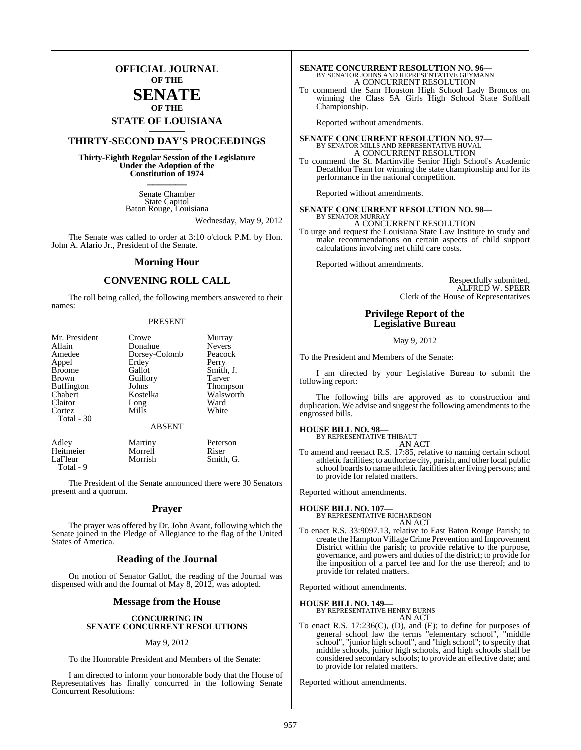### **OFFICIAL JOURNAL OF THE**

### **SENATE OF THE**

## **STATE OF LOUISIANA \_\_\_\_\_\_\_**

### **THIRTY-SECOND DAY'S PROCEEDINGS \_\_\_\_\_\_\_**

**Thirty-Eighth Regular Session of the Legislature Under the Adoption of the Constitution of 1974 \_\_\_\_\_\_\_**

> Senate Chamber State Capitol Baton Rouge, Louisiana

> > Wednesday, May 9, 2012

The Senate was called to order at 3:10 o'clock P.M. by Hon. John A. Alario Jr., President of the Senate.

#### **Morning Hour**

### **CONVENING ROLL CALL**

The roll being called, the following members answered to their names:

#### PRESENT

| Mr. President     | Crowe         | Murray          |
|-------------------|---------------|-----------------|
| Allain            | Donahue       | <b>Nevers</b>   |
| Amedee            | Dorsey-Colomb | Peacock         |
| Appel             | Erdey         | Perry           |
| <b>Broome</b>     | Gallot        | Smith, J.       |
| <b>Brown</b>      | Guillory      | Tarver          |
| <b>Buffington</b> | Johns         | <b>Thompson</b> |
| Chabert           | Kostelka      | Walsworth       |
| Claitor           | Long          | Ward            |
| Cortez            | Mills         | White           |
| Total - 30        | <b>ABSENT</b> |                 |
| Adley             | Martiny       | Peterson        |
| Heitmeier         | Morrell       | Riser           |

LaFleur Morrish Smith, G. Total - 9

The President of the Senate announced there were 30 Senators present and a quorum.

#### **Prayer**

The prayer was offered by Dr. John Avant, following which the Senate joined in the Pledge of Allegiance to the flag of the United States of America.

#### **Reading of the Journal**

On motion of Senator Gallot, the reading of the Journal was dispensed with and the Journal of May 8, 2012, was adopted.

#### **Message from the House**

#### **CONCURRING IN SENATE CONCURRENT RESOLUTIONS**

#### May 9, 2012

To the Honorable President and Members of the Senate:

I am directed to inform your honorable body that the House of Representatives has finally concurred in the following Senate Concurrent Resolutions:

## **SENATE CONCURRENT RESOLUTION NO. 96—**<br>BY SENATOR JOHNS AND REPRESENTATIVE GEYMANN A CONCURRENT RESOLUTION

To commend the Sam Houston High School Lady Broncos on winning the Class 5A Girls High School State Softball Championship.

Reported without amendments.

## **SENATE CONCURRENT RESOLUTION NO. 97—**<br>BY SENATOR MILLS AND REPRESENTATIVE HUVAL<br>A CONCURRENT RESOLUTION

To commend the St. Martinville Senior High School's Academic Decathlon Team for winning the state championship and for its performance in the national competition.

Reported without amendments.

#### **SENATE CONCURRENT RESOLUTION NO. 98—** BY SENATOR MURRAY

A CONCURRENT RESOLUTION To urge and request the Louisiana State Law Institute to study and make recommendations on certain aspects of child support calculations involving net child care costs.

Reported without amendments.

Respectfully submitted, ALFRED W. SPEER Clerk of the House of Representatives

### **Privilege Report of the Legislative Bureau**

#### May 9, 2012

To the President and Members of the Senate:

I am directed by your Legislative Bureau to submit the following report:

The following bills are approved as to construction and duplication. We advise and suggest the following amendments to the engrossed bills.

### **HOUSE BILL NO. 98—** BY REPRESENTATIVE THIBAUT

AN ACT

To amend and reenact R.S. 17:85, relative to naming certain school athletic facilities; to authorize city, parish, and otherlocal public school boards to name athletic facilities after living persons; and to provide for related matters.

Reported without amendments.

#### **HOUSE BILL NO. 107—**

BY REPRESENTATIVE RICHARDSON AN ACT

To enact R.S. 33:9097.13, relative to East Baton Rouge Parish; to create the Hampton VillageCrime Prevention and Improvement District within the parish; to provide relative to the purpose, governance, and powers and duties of the district; to provide for the imposition of a parcel fee and for the use thereof; and to provide for related matters.

Reported without amendments.

**HOUSE BILL NO. 149—** BY REPRESENTATIVE HENRY BURNS AN ACT

To enact R.S. 17:236(C), (D), and (E); to define for purposes of general school law the terms "elementary school", "middle school", "junior high school", and "high school"; to specify that middle schools, junior high schools, and high schools shall be considered secondary schools; to provide an effective date; and to provide for related matters.

Reported without amendments.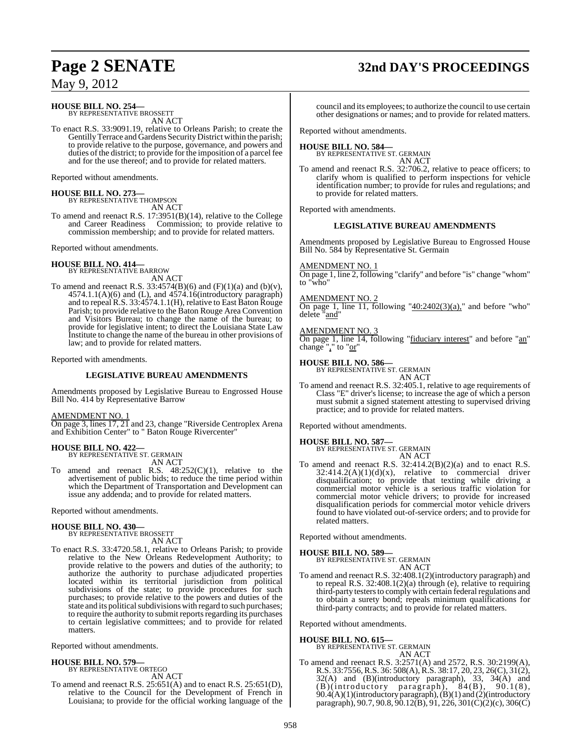## **Page 2 SENATE 32nd DAY'S PROCEEDINGS**

May 9, 2012

### **HOUSE BILL NO. 254—** BY REPRESENTATIVE BROSSETT

AN ACT

To enact R.S. 33:9091.19, relative to Orleans Parish; to create the Gentilly Terrace and Gardens Security District within the parish; to provide relative to the purpose, governance, and powers and duties of the district; to provide for the imposition of a parcel fee and for the use thereof; and to provide for related matters.

Reported without amendments.

## **HOUSE BILL NO. 273—** BY REPRESENTATIVE THOMPSON

AN ACT

To amend and reenact R.S. 17:3951(B)(14), relative to the College and Career Readiness Commission; to provide relative to commission membership; and to provide for related matters.

Reported without amendments.

## **HOUSE BILL NO. 414—** BY REPRESENTATIVE BARROW

AN ACT

To amend and reenact R.S.  $33:4574(B)(6)$  and  $(F)(1)(a)$  and  $(b)(v)$ ,  $4574.1.1(A)(6)$  and (L), and  $4574.16$ (introductory paragraph) and to repeal R.S. 33:4574.1.1(H), relative to East Baton Rouge Parish; to provide relative to the Baton Rouge Area Convention and Visitors Bureau; to change the name of the bureau; to provide for legislative intent; to direct the Louisiana State Law Institute to change the name of the bureau in other provisions of law; and to provide for related matters.

Reported with amendments.

#### **LEGISLATIVE BUREAU AMENDMENTS**

Amendments proposed by Legislative Bureau to Engrossed House Bill No. 414 by Representative Barrow

AMENDMENT NO. 1

On page 3, lines 17, 21 and 23, change "Riverside Centroplex Arena and Exhibition Center" to " Baton Rouge Rivercenter"

## **HOUSE BILL NO. 422—** BY REPRESENTATIVE ST. GERMAIN

AN ACT

To amend and reenact R.S.  $48:252(C)(1)$ , relative to the advertisement of public bids; to reduce the time period within which the Department of Transportation and Development can issue any addenda; and to provide for related matters.

Reported without amendments.

#### **HOUSE BILL NO. 430—**

BY REPRESENTATIVE BROSSETT AN ACT

To enact R.S. 33:4720.58.1, relative to Orleans Parish; to provide relative to the New Orleans Redevelopment Authority; to provide relative to the powers and duties of the authority; to authorize the authority to purchase adjudicated properties located within its territorial jurisdiction from political subdivisions of the state; to provide procedures for such purchases; to provide relative to the powers and duties of the state and its political subdivisions with regard to such purchases; to require the authority to submit reports regarding its purchases to certain legislative committees; and to provide for related matters.

Reported without amendments.

### **HOUSE BILL NO. 579—**

BY REPRESENTATIVE ORTEGO AN ACT

To amend and reenact R.S. 25:651(A) and to enact R.S. 25:651(D), relative to the Council for the Development of French in Louisiana; to provide for the official working language of the council and its employees; to authorize the council to use certain other designations or names; and to provide for related matters.

Reported without amendments.

#### **HOUSE BILL NO. 584—**

BY REPRESENTATIVE ST. GERMAIN AN ACT

To amend and reenact R.S. 32:706.2, relative to peace officers; to clarify whom is qualified to perform inspections for vehicle identification number; to provide for rules and regulations; and to provide for related matters.

Reported with amendments.

#### **LEGISLATIVE BUREAU AMENDMENTS**

Amendments proposed by Legislative Bureau to Engrossed House Bill No. 584 by Representative St. Germain

### AMENDMENT NO. 1

On page 1, line 2, following "clarify" and before "is" change "whom" to "who"

#### AMENDMENT NO. 2

On page 1, line 11, following  $"40:2402(3)(a)$ ," and before "who" delete "and"

#### AMENDMENT NO. 3

On page 1, line 14, following "fiduciary interest" and before "an" change"," to " $or$ "

#### **HOUSE BILL NO. 586—**

BY REPRESENTATIVE ST. GERMAIN AN ACT

To amend and reenact R.S. 32:405.1, relative to age requirements of Class "E" driver's license; to increase the age of which a person must submit a signed statement attesting to supervised driving practice; and to provide for related matters.

Reported without amendments.

#### **HOUSE BILL NO. 587—**

BY REPRESENTATIVE ST. GERMAIN

AN ACT To amend and reenact R.S. 32:414.2(B)(2)(a) and to enact R.S.  $32:414.2(A)(1)(d)(x)$ , relative to commercial driver disqualification; to provide that texting while driving a commercial motor vehicle is a serious traffic violation for commercial motor vehicle drivers; to provide for increased disqualification periods for commercial motor vehicle drivers found to have violated out-of-service orders; and to provide for related matters.

Reported without amendments.

#### **HOUSE BILL NO. 589—**

BY REPRESENTATIVE ST. GERMAIN AN ACT

To amend and reenact R.S. 32:408.1(2)(introductory paragraph) and to repeal R.S. 32:408.1(2)(a) through (e), relative to requiring third-party testers to comply with certain federal regulations and to obtain a surety bond; repeals minimum qualifications for third-party contracts; and to provide for related matters.

Reported without amendments.

#### **HOUSE BILL NO. 615—** BY REPRESENTATIVE ST. GERMAIN AN ACT

To amend and reenact R.S. 3:2571(A) and 2572, R.S. 30:2199(A), R.S. 33:7556,R.S. 36: 508(A), R.S. 38:17, 20, 23, 26(C), 31(2), 32(A) and (B)(introductory paragraph), 33, 34(A) and (B)(introductory paragraph), 84(B), 90.1(8), 90.4(A)(1)(introductory paragraph), (B)(1) and (2)(introductory paragraph), 90.7, 90.8, 90.12(B), 91, 226, 301(C)(2)(c), 306(C)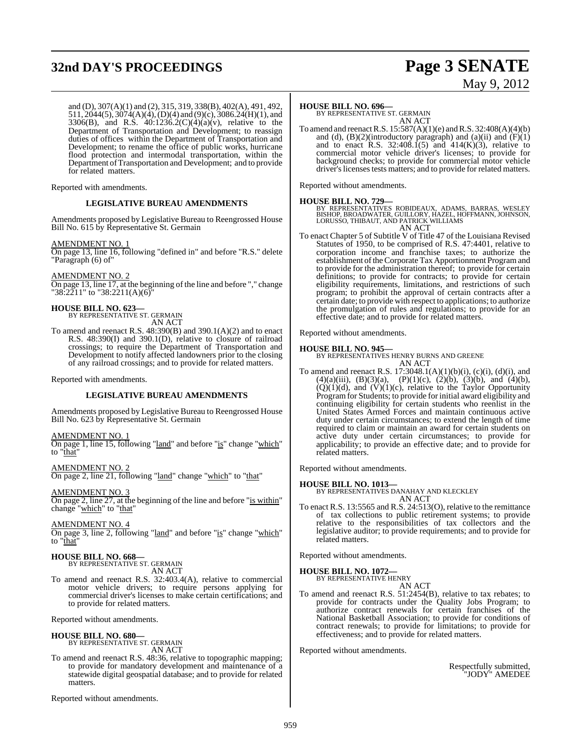## **32nd DAY'S PROCEEDINGS Page 3 SENATE**

# May 9, 2012

and (D), 307(A)(1) and (2), 315, 319, 338(B), 402(A), 491, 492, 511, 2044(5), 3074(A)(4), (D)(4) and (9)(c), 3086.24(H)(1), and 3306(B), and R.S. 40:1236.2(C)(4)(a)(v), relative to the Department of Transportation and Development; to reassign duties of offices within the Department of Transportation and Development; to rename the office of public works, hurricane flood protection and intermodal transportation, within the Department ofTransportation and Development; and to provide for related matters.

Reported with amendments.

#### **LEGISLATIVE BUREAU AMENDMENTS**

Amendments proposed by Legislative Bureau to Reengrossed House Bill No. 615 by Representative St. Germain

#### AMENDMENT NO. 1

On page 13, line 16, following "defined in" and before "R.S." delete "Paragraph (6) of"

AMENDMENT NO. 2

On page 13, line 17, at the beginning of the line and before "," change "38:2211" to "38:2211(A)(6)"

## **HOUSE BILL NO. 623—** BY REPRESENTATIVE ST. GERMAIN

AN ACT

To amend and reenact R.S. 48:390(B) and 390.1(A)(2) and to enact R.S. 48:390(I) and 390.1(D), relative to closure of railroad crossings; to require the Department of Transportation and Development to notify affected landowners prior to the closing of any railroad crossings; and to provide for related matters.

Reported with amendments.

#### **LEGISLATIVE BUREAU AMENDMENTS**

Amendments proposed by Legislative Bureau to Reengrossed House Bill No. 623 by Representative St. Germain

#### AMENDMENT NO. 1

On page 1, line 15, following "land" and before "is" change "which" to "that"

AMENDMENT NO. 2

On page 2, line 21, following "land" change "which" to "that"

#### AMENDMENT NO. 3

On page 2, line 27, at the beginning of the line and before "is within" change "<u>which</u>" to "that"

#### AMENDMENT NO. 4

On page 3, line 2, following "land" and before "is" change "which" to "that"

### **HOUSE BILL NO. 668—**

BY REPRESENTATIVE ST. GERMAIN AN ACT

To amend and reenact R.S. 32:403.4(A), relative to commercial motor vehicle drivers; to require persons applying for commercial driver's licenses to make certain certifications; and to provide for related matters.

Reported without amendments.

### **HOUSE BILL NO. 680—** BY REPRESENTATIVE ST. GERMAIN

AN ACT

To amend and reenact R.S. 48:36, relative to topographic mapping; to provide for mandatory development and maintenance of a statewide digital geospatial database; and to provide for related matters.

Reported without amendments.

#### **HOUSE BILL NO. 696—**

BY REPRESENTATIVE ST. GERMAIN AN ACT

To amend and reenactR.S. 15:587(A)(1)(e) and R.S. 32:408(A)(4)(b) and (d),  $(B)(2)$ (introductory paragraph) and  $(a)$ (ii) and  $(F)(1)$ and to enact R.S. 32:408.1(5) and  $414(K)(3)$ , relative to commercial motor vehicle driver's licenses; to provide for background checks; to provide for commercial motor vehicle driver's licenses tests matters; and to provide for related matters.

Reported without amendments.

#### **HOUSE BILL NO. 729—**

BY REPRESENTATIVES ROBIDEAUX, ADAMS, BARRAS, WESLEY<br>BISHOP, BROADWATER, GUILLORY, HAZEL, HOFFMANN, JOHNSON,<br>LORUSSO, THIBAUT, AND PATRICK WILLIAMS AN ACT

To enact Chapter 5 of Subtitle V of Title 47 of the Louisiana Revised Statutes of 1950, to be comprised of R.S. 47:4401, relative to corporation income and franchise taxes; to authorize the establishment of the Corporate Tax Apportionment Program and to provide for the administration thereof; to provide for certain definitions; to provide for contracts; to provide for certain eligibility requirements, limitations, and restrictions of such program; to prohibit the approval of certain contracts after a certain date; to provide with respect to applications; to authorize the promulgation of rules and regulations; to provide for an effective date; and to provide for related matters.

Reported without amendments.

#### **HOUSE BILL NO. 945—**

BY REPRESENTATIVES HENRY BURNS AND GREENE AN ACT

To amend and reenact R.S.  $17:3048.1(A)(1)(b)(i)$ ,  $(c)(i)$ ,  $(d)(i)$ , and  $(4)(a)(iii)$ ,  $(B)(3)(a)$ ,  $(P)(1)(c)$ ,  $(2)(b)$ ,  $(3)(b)$ , and  $(4)(b)$ ,  $(Q)(1)(d)$ , and  $(V)(1)(c)$ , relative to the Taylor Opportunity Program for Students; to provide for initial award eligibility and continuing eligibility for certain students who reenlist in the United States Armed Forces and maintain continuous active duty under certain circumstances; to extend the length of time required to claim or maintain an award for certain students on active duty under certain circumstances; to provide for applicability; to provide an effective date; and to provide for related matters.

Reported without amendments.

#### **HOUSE BILL NO. 1013—**

BY REPRESENTATIVES DANAHAY AND KLECKLEY AN ACT

To enact R.S. 13:5565 and R.S. 24:513(O), relative to the remittance of tax collections to public retirement systems; to provide relative to the responsibilities of tax collectors and the legislative auditor; to provide requirements; and to provide for related matters.

Reported without amendments.

### **HOUSE BILL NO. 1072—** BY REPRESENTATIVE HENRY

AN ACT

To amend and reenact R.S. 51:2454(B), relative to tax rebates; to provide for contracts under the Quality Jobs Program; to authorize contract renewals for certain franchises of the National Basketball Association; to provide for conditions of contract renewals; to provide for limitations; to provide for effectiveness; and to provide for related matters.

Reported without amendments.

Respectfully submitted, "JODY" AMEDEE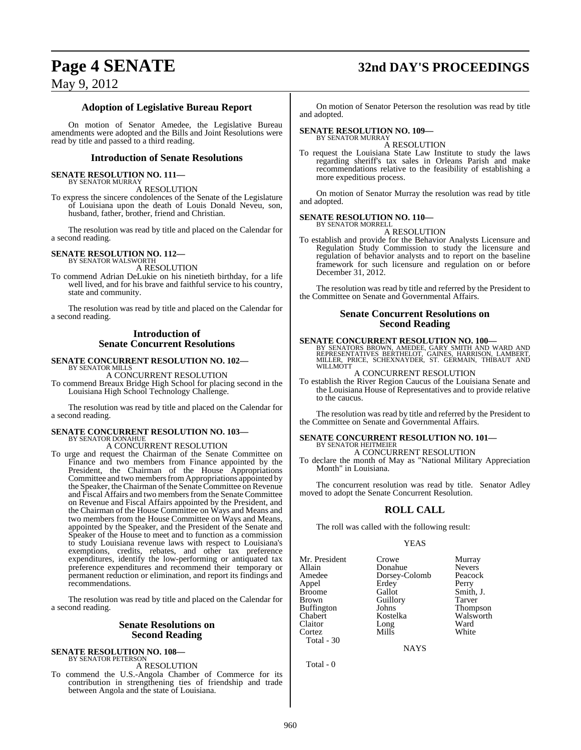## **Page 4 SENATE 32nd DAY'S PROCEEDINGS**

May 9, 2012

### **Adoption of Legislative Bureau Report**

On motion of Senator Amedee, the Legislative Bureau amendments were adopted and the Bills and Joint Resolutions were read by title and passed to a third reading.

#### **Introduction of Senate Resolutions**

#### **SENATE RESOLUTION NO. 111—** BY SENATOR MURRAY

A RESOLUTION

To express the sincere condolences of the Senate of the Legislature of Louisiana upon the death of Louis Donald Neveu, son, husband, father, brother, friend and Christian.

The resolution was read by title and placed on the Calendar for a second reading.

### **SENATE RESOLUTION NO. 112—** BY SENATOR WALSWORTH

A RESOLUTION

To commend Adrian DeLukie on his ninetieth birthday, for a life well lived, and for his brave and faithful service to his country, state and community.

The resolution was read by title and placed on the Calendar for a second reading.

### **Introduction of Senate Concurrent Resolutions**

### **SENATE CONCURRENT RESOLUTION NO. 102—** BY SENATOR MILLS

A CONCURRENT RESOLUTION

To commend Breaux Bridge High School for placing second in the Louisiana High School Technology Challenge.

The resolution was read by title and placed on the Calendar for a second reading.

#### **SENATE CONCURRENT RESOLUTION NO. 103—** BY SENATOR DONAHUE

A CONCURRENT RESOLUTION

To urge and request the Chairman of the Senate Committee on Finance and two members from Finance appointed by the President, the Chairman of the House Appropriations Committee and two members from Appropriations appointed by the Speaker, the Chairman of the Senate Committee on Revenue and Fiscal Affairs and two members from the Senate Committee on Revenue and Fiscal Affairs appointed by the President, and the Chairman of the House Committee on Ways and Means and two members from the House Committee on Ways and Means, appointed by the Speaker, and the President of the Senate and Speaker of the House to meet and to function as a commission to study Louisiana revenue laws with respect to Louisiana's exemptions, credits, rebates, and other tax preference expenditures, identify the low-performing or antiquated tax preference expenditures and recommend their temporary or permanent reduction or elimination, and report its findings and recommendations.

The resolution was read by title and placed on the Calendar for a second reading.

#### **Senate Resolutions on Second Reading**

#### **SENATE RESOLUTION NO. 108—** BY SENATOR PETERSON

A RESOLUTION

To commend the U.S.-Angola Chamber of Commerce for its contribution in strengthening ties of friendship and trade between Angola and the state of Louisiana.

On motion of Senator Peterson the resolution was read by title and adopted.

### **SENATE RESOLUTION NO. 109—** BY SENATOR MURRAY

A RESOLUTION

To request the Louisiana State Law Institute to study the laws regarding sheriff's tax sales in Orleans Parish and make recommendations relative to the feasibility of establishing a more expeditious process.

On motion of Senator Murray the resolution was read by title and adopted.

#### **SENATE RESOLUTION NO. 110—**

BY SENATOR MORRELL A RESOLUTION

To establish and provide for the Behavior Analysts Licensure and Regulation Study Commission to study the licensure and regulation of behavior analysts and to report on the baseline framework for such licensure and regulation on or before December 31, 2012.

The resolution was read by title and referred by the President to the Committee on Senate and Governmental Affairs.

#### **Senate Concurrent Resolutions on Second Reading**

#### **SENATE CONCURRENT RESOLUTION NO. 100—**

BY SENATORS BROWN, AMEDEE, GARY SMITH AND WARD AND<br>REPRESENTATIVES BERTHELOT, GAINES, HARRISON, LAMBERT,<br>MILLER, PRICE, SCHEXNAYDER, ST. GERMAIN, THIBAUT AND WILLMOTT

#### A CONCURRENT RESOLUTION

To establish the River Region Caucus of the Louisiana Senate and the Louisiana House of Representatives and to provide relative to the caucus.

The resolution was read by title and referred by the President to the Committee on Senate and Governmental Affairs.

#### **SENATE CONCURRENT RESOLUTION NO. 101—** BY SENATOR HEITMEIER

#### A CONCURRENT RESOLUTION

To declare the month of May as "National Military Appreciation Month" in Louisiana.

The concurrent resolution was read by title. Senator Adley moved to adopt the Senate Concurrent Resolution.

### **ROLL CALL**

The roll was called with the following result:

#### YEAS

| Mr. President     | Crowe         | Murray        |
|-------------------|---------------|---------------|
| Allain            | Donahue       | <b>Nevers</b> |
| Amedee            | Dorsey-Colomb | Peacock       |
| Appel             | Erdey         | Perry         |
| <b>Broome</b>     | Gallot        | Smith, J.     |
| <b>Brown</b>      | Guillory      | Tarver        |
| <b>Buffington</b> | Johns         | Thompson      |
| Chabert           | Kostelka      | Walsworth     |
| Claitor           | Long          | Ward          |
| Cortez            | Mills         | White         |
| Total - $30$      |               |               |

NAYS

Total - 0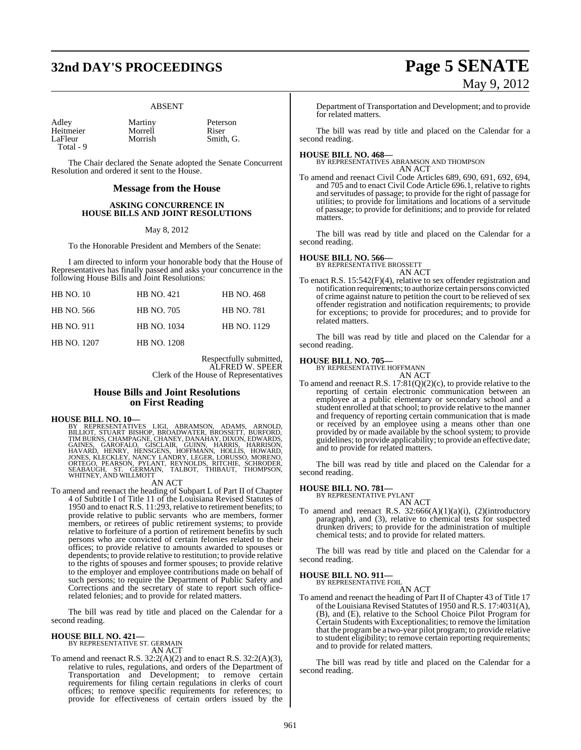## **32nd DAY'S PROCEEDINGS Page 5 SENATE**

#### ABSENT

| Adley     | Martiny | Peter |
|-----------|---------|-------|
| Heitmeier | Morrell | Riser |
| LaFleur   | Morrish | Smith |
| Total - 9 |         |       |

The Chair declared the Senate adopted the Senate Concurrent Resolution and ordered it sent to the House.

#### **Message from the House**

#### **ASKING CONCURRENCE IN HOUSE BILLS AND JOINT RESOLUTIONS**

#### May 8, 2012

To the Honorable President and Members of the Senate:

I am directed to inform your honorable body that the House of Representatives has finally passed and asks your concurrence in the following House Bills and Joint Resolutions:

| <b>HB NO. 10</b>   | <b>HB NO. 421</b>  | <b>HB NO. 468</b> |
|--------------------|--------------------|-------------------|
| HB NO. 566         | <b>HB NO. 705</b>  | <b>HB NO. 781</b> |
| <b>HB NO. 911</b>  | <b>HB NO. 1034</b> | HB NO. 1129       |
| <b>HB NO. 1207</b> | <b>HB NO. 1208</b> |                   |

Respectfully submitted, ALFRED W. SPEER Clerk of the House of Representatives

Peterson<br>Riser

Smith, G.

#### **House Bills and Joint Resolutions on First Reading**

#### **HOUSE BILL NO. 10—**

BY REPRESENTATIVES LIGI, ABRAMSON, ADAMS, ARNOLD,<br>BILLIOT, STUART BISHOP, BROADWATER, BROSSETT, BURFORD,<br>TIMBURNS,CHAMPAGNE, CHANEY, DANAHAY, DIXON, EDWARDS,<br>GAINES, GAROFALO, GISCLAIR, GUINN, HARRIS, HARRISON,<br>HAVARD, HEN

#### AN ACT

To amend and reenact the heading of Subpart L of Part II of Chapter 4 of Subtitle I of Title 11 of the Louisiana Revised Statutes of 1950 and to enact R.S. 11:293, relative to retirement benefits; to provide relative to public servants who are members, former members, or retirees of public retirement systems; to provide relative to forfeiture of a portion of retirement benefits by such persons who are convicted of certain felonies related to their offices; to provide relative to amounts awarded to spouses or dependents; to provide relative to restitution; to provide relative to the rights of spouses and former spouses; to provide relative to the employer and employee contributions made on behalf of such persons; to require the Department of Public Safety and Corrections and the secretary of state to report such officerelated felonies; and to provide for related matters.

The bill was read by title and placed on the Calendar for a second reading.

## **HOUSE BILL NO. 421—** BY REPRESENTATIVE ST. GERMAIN

AN ACT

To amend and reenact R.S.  $32:2(A)(2)$  and to enact R.S.  $32:2(A)(3)$ , relative to rules, regulations, and orders of the Department of Transportation and Development; to remove certain requirements for filing certain regulations in clerks of court offices; to remove specific requirements for references; to provide for effectiveness of certain orders issued by the

#### Department of Transportation and Development; and to provide for related matters.

The bill was read by title and placed on the Calendar for a second reading.

**HOUSE BILL NO. 468—** BY REPRESENTATIVES ABRAMSON AND THOMPSON AN ACT

To amend and reenact Civil Code Articles 689, 690, 691, 692, 694, and 705 and to enact Civil Code Article 696.1, relative to rights and servitudes of passage; to provide for the right of passage for utilities; to provide for limitations and locations of a servitude of passage; to provide for definitions; and to provide for related matters.

The bill was read by title and placed on the Calendar for a second reading.

#### **HOUSE BILL NO. 566—**

BY REPRESENTATIVE BROSSETT AN ACT

To enact R.S. 15:542(F)(4), relative to sex offender registration and notification requirements; to authorize certain persons convicted of crime against nature to petition the court to be relieved of sex offender registration and notification requirements; to provide for exceptions; to provide for procedures; and to provide for related matters.

The bill was read by title and placed on the Calendar for a second reading.

### **HOUSE BILL NO. 705—** BY REPRESENTATIVE HOFFMANN

AN ACT

To amend and reenact R.S. 17:81(Q)(2)(c), to provide relative to the reporting of certain electronic communication between an employee at a public elementary or secondary school and a student enrolled at that school; to provide relative to the manner and frequency of reporting certain communication that is made or received by an employee using a means other than one provided by or made available by the school system; to provide guidelines; to provide applicability; to provide an effective date; and to provide for related matters.

The bill was read by title and placed on the Calendar for a second reading.

### **HOUSE BILL NO. 781—** BY REPRESENTATIVE PYLANT

AN ACT To amend and reenact R.S.  $32:666(A)(1)(a)(i)$ ,  $(2)(introducing$ paragraph), and (3), relative to chemical tests for suspected drunken drivers; to provide for the administration of multiple chemical tests; and to provide for related matters.

The bill was read by title and placed on the Calendar for a second reading.

### **HOUSE BILL NO. 911—** BY REPRESENTATIVE FOIL

AN ACT

To amend and reenact the heading of Part II of Chapter 43 of Title 17 of the Louisiana Revised Statutes of 1950 and R.S. 17:4031(A), (B), and (E), relative to the School Choice Pilot Program for Certain Students with Exceptionalities; to remove the limitation that the programbe a two-year pilot program; to provide relative to student eligibility; to remove certain reporting requirements; and to provide for related matters.

The bill was read by title and placed on the Calendar for a second reading.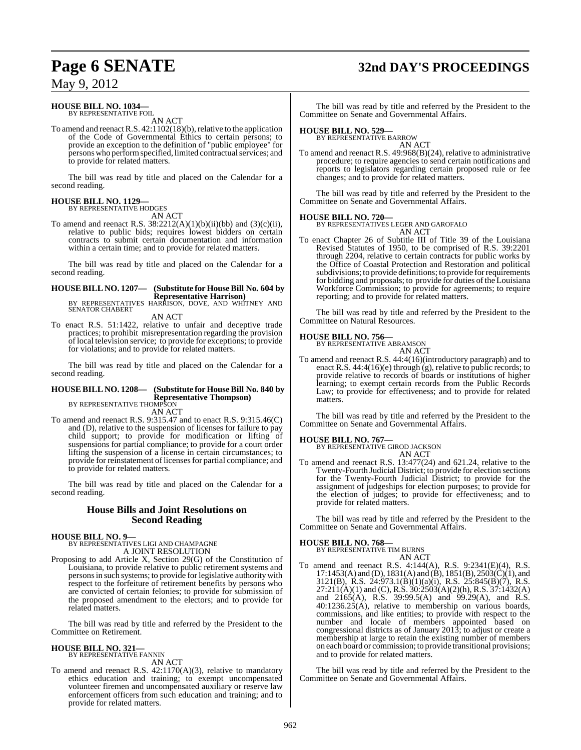## **Page 6 SENATE 32nd DAY'S PROCEEDINGS**

### May 9, 2012

#### **HOUSE BILL NO. 1034—** BY REPRESENTATIVE FOIL

AN ACT

To amend and reenact R.S. 42:1102(18)(b), relative to the application of the Code of Governmental Ethics to certain persons; to provide an exception to the definition of "public employee" for persons who performspecified, limited contractualservices; and to provide for related matters.

The bill was read by title and placed on the Calendar for a second reading.

#### **HOUSE BILL NO. 1129—** BY REPRESENTATIVE HODGES

AN ACT

To amend and reenact R.S.  $38:2212(A)(1)(b)(ii)(bb)$  and  $(3)(c)(ii)$ , relative to public bids; requires lowest bidders on certain contracts to submit certain documentation and information within a certain time; and to provide for related matters.

The bill was read by title and placed on the Calendar for a second reading.

### **HOUSE BILL NO. 1207— (Substitute for HouseBill No. 604 by**

**Representative Harrison)** BY REPRESENTATIVES HARRISON, DOVE, AND WHITNEY AND SENATOR CHABERT

AN ACT

To enact R.S. 51:1422, relative to unfair and deceptive trade practices; to prohibit misrepresentation regarding the provision of local television service; to provide for exceptions; to provide for violations; and to provide for related matters.

The bill was read by title and placed on the Calendar for a second reading.

### **HOUSE BILL NO. 1208— (Substitute for House Bill No. 840 by Representative Thompson)**<br>BY REPRESENTATIVE THOMPSON

AN ACT

To amend and reenact R.S. 9:315.47 and to enact R.S. 9:315.46(C) and (D), relative to the suspension of licenses for failure to pay child support; to provide for modification or lifting of suspensions for partial compliance; to provide for a court order lifting the suspension of a license in certain circumstances; to provide for reinstatement of licenses for partial compliance; and to provide for related matters.

The bill was read by title and placed on the Calendar for a second reading.

#### **House Bills and Joint Resolutions on Second Reading**

#### **HOUSE BILL NO. 9—**

BY REPRESENTATIVES LIGI AND CHAMPAGNE A JOINT RESOLUTION

Proposing to add Article X, Section 29(G) of the Constitution of Louisiana, to provide relative to public retirement systems and persons in such systems; to provide for legislative authority with respect to the forfeiture of retirement benefits by persons who are convicted of certain felonies; to provide for submission of the proposed amendment to the electors; and to provide for related matters.

The bill was read by title and referred by the President to the Committee on Retirement.

### **HOUSE BILL NO. 321—** BY REPRESENTATIVE FANNIN

AN ACT

To amend and reenact R.S. 42:1170(A)(3), relative to mandatory ethics education and training; to exempt uncompensated volunteer firemen and uncompensated auxiliary or reserve law enforcement officers from such education and training; and to provide for related matters.

The bill was read by title and referred by the President to the Committee on Senate and Governmental Affairs.

### **HOUSE BILL NO. 529—** BY REPRESENTATIVE BARROW

AN ACT

To amend and reenact R.S. 49:968(B)(24), relative to administrative procedure; to require agencies to send certain notifications and reports to legislators regarding certain proposed rule or fee changes; and to provide for related matters.

The bill was read by title and referred by the President to the Committee on Senate and Governmental Affairs.

#### **HOUSE BILL NO. 720—**

BY REPRESENTATIVES LEGER AND GAROFALO AN ACT

To enact Chapter 26 of Subtitle III of Title 39 of the Louisiana Revised Statutes of 1950, to be comprised of R.S. 39:2201 through 2204, relative to certain contracts for public works by the Office of Coastal Protection and Restoration and political subdivisions; to provide definitions; to provide for requirements for bidding and proposals; to provide for duties of the Louisiana Workforce Commission; to provide for agreements; to require reporting; and to provide for related matters.

The bill was read by title and referred by the President to the Committee on Natural Resources.

### **HOUSE BILL NO. 756—**



To amend and reenact R.S. 44:4(16)(introductory paragraph) and to enact R.S. 44:4(16)(e) through (g), relative to public records; to provide relative to records of boards or institutions of higher learning; to exempt certain records from the Public Records Law; to provide for effectiveness; and to provide for related matters.

The bill was read by title and referred by the President to the Committee on Senate and Governmental Affairs.

#### **HOUSE BILL NO. 767—**

BY REPRESENTATIVE GIROD JACKSON AN ACT

To amend and reenact R.S. 13:477(24) and 621.24, relative to the Twenty-Fourth Judicial District; to provide for election sections for the Twenty-Fourth Judicial District; to provide for the assignment of judgeships for election purposes; to provide for the election of judges; to provide for effectiveness; and to provide for related matters.

The bill was read by title and referred by the President to the Committee on Senate and Governmental Affairs.

### **HOUSE BILL NO. 768—**

BY REPRESENTATIVE TIM BURNS AN ACT

To amend and reenact R.S. 4:144(A), R.S. 9:2341(E)(4), R.S. 17:1453(A) and (D), 1831(A) and (B), 1851(B), 2503(C)(1), and 3121(B), R.S. 24:973.1(B)(1)(a)(i), R.S. 25:845(B)(7), R.S.  $27:211(A)(1)$  and (C), R.S.  $30:2503(A)(2)(h)$ , R.S.  $37:1432(A)$ and 2165(A), R.S. 39:99.5(A) and 99.29(A), and R.S. 40:1236.25(A), relative to membership on various boards, commissions, and like entities; to provide with respect to the number and locale of members appointed based on congressional districts as of January 2013; to adjust or create a membership at large to retain the existing number of members on each board or commission; to provide transitional provisions; and to provide for related matters.

The bill was read by title and referred by the President to the Committee on Senate and Governmental Affairs.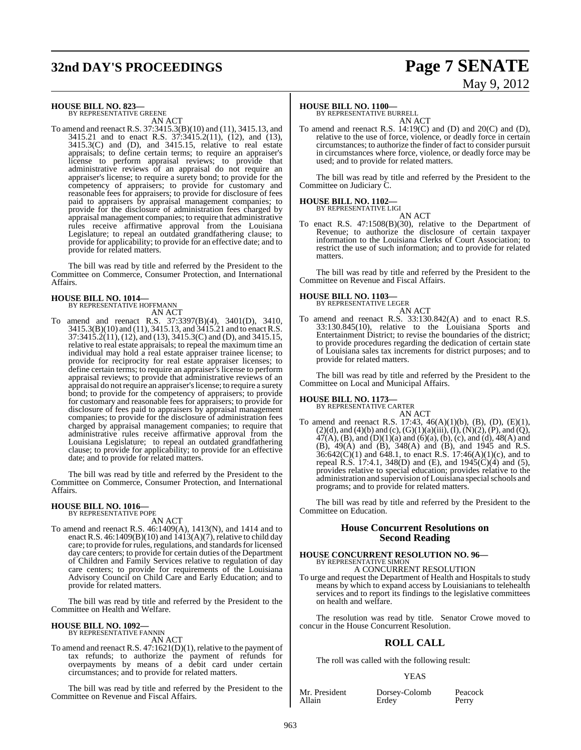## **32nd DAY'S PROCEEDINGS Page 7 SENATE**

# May 9, 2012

### **HOUSE BILL NO. 823—** BY REPRESENTATIVE GREENE

AN ACT

To amend and reenact R.S. 37:3415.3(B)(10) and (11), 3415.13, and 3415.21 and to enact R.S. 37:3415.2(11), (12), and (13), 3415.3(C) and (D), and 3415.15, relative to real estate appraisals; to define certain terms; to require an appraiser's license to perform appraisal reviews; to provide that administrative reviews of an appraisal do not require an appraiser's license; to require a surety bond; to provide for the competency of appraisers; to provide for customary and reasonable fees for appraisers; to provide for disclosure of fees paid to appraisers by appraisal management companies; to provide for the disclosure of administration fees charged by appraisal management companies; to require that administrative rules receive affirmative approval from the Louisiana Legislature; to repeal an outdated grandfathering clause; to provide for applicability; to provide for an effective date; and to provide for related matters.

The bill was read by title and referred by the President to the Committee on Commerce, Consumer Protection, and International **Affairs** 

### **HOUSE BILL NO. 1014—** BY REPRESENTATIVE HOFFMANN

- AN ACT
- To amend and reenact R.S. 37:3397(B)(4), 3401(D), 3410, 3415.3(B)(10) and (11), 3415.13, and 3415.21 and to enact R.S. 37:3415.2(11), (12), and (13), 3415.3(C) and (D), and 3415.15, relative to real estate appraisals; to repeal the maximum time an individual may hold a real estate appraiser trainee license; to provide for reciprocity for real estate appraiser licenses; to define certain terms; to require an appraiser's license to perform appraisal reviews; to provide that administrative reviews of an appraisal do notrequire an appraiser'slicense; to require a surety bond; to provide for the competency of appraisers; to provide for customary and reasonable fees for appraisers; to provide for disclosure of fees paid to appraisers by appraisal management companies; to provide for the disclosure of administration fees charged by appraisal management companies; to require that administrative rules receive affirmative approval from the Louisiana Legislature; to repeal an outdated grandfathering clause; to provide for applicability; to provide for an effective date; and to provide for related matters.

The bill was read by title and referred by the President to the Committee on Commerce, Consumer Protection, and International Affairs.

#### **HOUSE BILL NO. 1016—**

BY REPRESENTATIVE POPE AN ACT

To amend and reenact R.S. 46:1409(A), 1413(N), and 1414 and to enact R.S.  $46:1409(B)(10)$  and  $1413(A)(7)$ , relative to child day care; to provide for rules, regulations, and standards for licensed day care centers; to provide for certain duties of the Department of Children and Family Services relative to regulation of day care centers; to provide for requirements of the Louisiana Advisory Council on Child Care and Early Education; and to provide for related matters.

The bill was read by title and referred by the President to the Committee on Health and Welfare.

## **HOUSE BILL NO. 1092—** BY REPRESENTATIVE FANNIN

AN ACT

To amend and reenact R.S. 47:1621(D)(1), relative to the payment of tax refunds; to authorize the payment of refunds for overpayments by means of a debit card under certain circumstances; and to provide for related matters.

The bill was read by title and referred by the President to the Committee on Revenue and Fiscal Affairs.

#### **HOUSE BILL NO. 1100—**

BY REPRESENTATIVE BURRELL AN ACT

To amend and reenact R.S. 14:19(C) and (D) and 20(C) and (D), relative to the use of force, violence, or deadly force in certain circumstances; to authorize the finder of fact to consider pursuit in circumstances where force, violence, or deadly force may be used; and to provide for related matters.

The bill was read by title and referred by the President to the Committee on Judiciary C.

### **HOUSE BILL NO. 1102—**

BY REPRESENTATIVE LIGI AN ACT

To enact R.S. 47:1508(B)(30), relative to the Department of Revenue; to authorize the disclosure of certain taxpayer information to the Louisiana Clerks of Court Association; to restrict the use of such information; and to provide for related matters.

The bill was read by title and referred by the President to the Committee on Revenue and Fiscal Affairs.

## **HOUSE BILL NO. 1103—** BY REPRESENTATIVE LEGER

AN ACT To amend and reenact R.S. 33:130.842(A) and to enact R.S. 33:130.845(10), relative to the Louisiana Sports and Entertainment District; to revise the boundaries of the district; to provide procedures regarding the dedication of certain state of Louisiana sales tax increments for district purposes; and to provide for related matters.

The bill was read by title and referred by the President to the Committee on Local and Municipal Affairs.

#### **HOUSE BILL NO. 1173—** BY REPRESENTATIVE CARTER

AN ACT

To amend and reenact R.S. 17:43, 46(A)(1)(b), (B), (D), (E)(1),  $(2)(d)$ , and  $(4)(b)$  and  $(c)$ ,  $(G)(1)(a)(iii)$ ,  $(I)$ ,  $(N)(2)$ ,  $(P)$ , and  $(Q)$ ,  $47(A)$ , (B), and (D)(1)(a) and (6)(a), (b), (c), and (d), 48(A) and (B), 49(A) and (B), 348(A) and (B), and 1945 and R.S.  $36:642(C)(1)$  and  $648.1$ , to enact R.S. 17:46(A)(1)(c), and to repeal R.S. 17:4.1, 348(D) and (E), and  $1945(\dot{C})(4)$  and (5), provides relative to special education; provides relative to the administration and supervision of Louisiana special schools and programs; and to provide for related matters.

The bill was read by title and referred by the President to the Committee on Education.

### **House Concurrent Resolutions on Second Reading**

#### **HOUSE CONCURRENT RESOLUTION NO. 96—** BY REPRESENTATIVE SIMON

A CONCURRENT RESOLUTION To urge and request the Department of Health and Hospitals to study means by which to expand access by Louisianians to telehealth services and to report its findings to the legislative committees on health and welfare.

The resolution was read by title. Senator Crowe moved to concur in the House Concurrent Resolution.

### **ROLL CALL**

The roll was called with the following result:

#### YEAS

Mr. President Dorsey-Colomb Peacock Allain Erdey Perry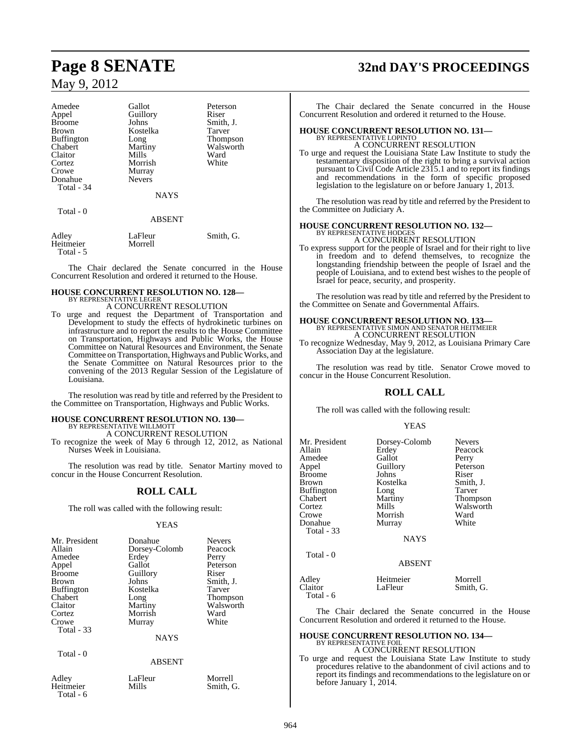| Amedee            | Gallot                     | Peterson                 |
|-------------------|----------------------------|--------------------------|
| Appel             | Guillory                   | Riser                    |
| <b>Broome</b>     | Johns                      | Smith, J.                |
| <b>Brown</b>      | Kostelka                   | Tarver                   |
| <b>Buffington</b> | Long                       | <b>Thompson</b>          |
| Chabert           | Martiny                    | Walsworth                |
| Claitor           | Mills                      | Ward                     |
| Cortez            | Morrish                    | White                    |
| Crowe             | Murray                     |                          |
| Donahue           | <b>Nevers</b>              |                          |
| Total - 34        |                            |                          |
|                   | <b>NAYS</b>                |                          |
| Total - 0         |                            |                          |
|                   | <b>ABSENT</b>              |                          |
| $A$ $Alax$        | $L_{\alpha}$ $E1_{\alpha}$ | $C_{\text{max}}$ ith $C$ |

| Adley     | LaFleur | Smith, G. |
|-----------|---------|-----------|
| Heitmeier | Morrell |           |
| Total - 5 |         |           |

The Chair declared the Senate concurred in the House Concurrent Resolution and ordered it returned to the House.

#### **HOUSE CONCURRENT RESOLUTION NO. 128—** BY REPRESENTATIVE LEGER

### A CONCURRENT RESOLUTION

To urge and request the Department of Transportation and Development to study the effects of hydrokinetic turbines on infrastructure and to report the results to the House Committee on Transportation, Highways and Public Works, the House Committee on Natural Resources and Environment, the Senate Committee on Transportation, Highways and Public Works, and the Senate Committee on Natural Resources prior to the convening of the 2013 Regular Session of the Legislature of Louisiana.

The resolution was read by title and referred by the President to the Committee on Transportation, Highways and Public Works.

#### **HOUSE CONCURRENT RESOLUTION NO. 130—** BY REPRESENTATIVE WILLMOTT

A CONCURRENT RESOLUTION

To recognize the week of May 6 through 12, 2012, as National Nurses Week in Louisiana.

The resolution was read by title. Senator Martiny moved to concur in the House Concurrent Resolution.

### **ROLL CALL**

The roll was called with the following result:

#### YEAS

| Mr. President<br>Allain<br>Amedee<br>Appel<br><b>Broome</b><br><b>Brown</b><br><b>Buffington</b><br>Chabert<br>Claitor<br>Cortez<br>Crowe<br><b>Total - 33</b> | Donahue<br>Dorsey-Colomb<br>Erdey<br>Gallot<br>Guillory<br>Johns<br>Kostelka<br>Long<br>Martiny<br>Morrish<br>Murray<br><b>NAYS</b> | <b>Nevers</b><br>Peacock<br>Perry<br>Peterson<br>Riser<br>Smith, J.<br>Tarver<br><b>Thompson</b><br>Walsworth<br>Ward<br>White |
|----------------------------------------------------------------------------------------------------------------------------------------------------------------|-------------------------------------------------------------------------------------------------------------------------------------|--------------------------------------------------------------------------------------------------------------------------------|
| Total $-0$                                                                                                                                                     | <b>ABSENT</b>                                                                                                                       |                                                                                                                                |

Total - 6

## Adley LaFleur Morrell<br>
Heitmeier Mills Smith (

## **Page 8 SENATE 32nd DAY'S PROCEEDINGS**

The Chair declared the Senate concurred in the House Concurrent Resolution and ordered it returned to the House.

### **HOUSE CONCURRENT RESOLUTION NO. 131—** BY REPRESENTATIVE LOPINTO

A CONCURRENT RESOLUTION

To urge and request the Louisiana State Law Institute to study the testamentary disposition of the right to bring a survival action pursuant to Civil Code Article 2315.1 and to report its findings and recommendations in the form of specific proposed legislation to the legislature on or before January 1, 2013.

The resolution was read by title and referred by the President to the Committee on Judiciary A.

#### **HOUSE CONCURRENT RESOLUTION NO. 132—** BY REPRESENTATIVE HO

A CONCURRENT RESOLUTION

To express support for the people of Israel and for their right to live in freedom and to defend themselves, to recognize the longstanding friendship between the people of Israel and the people of Louisiana, and to extend best wishes to the people of Israel for peace, security, and prosperity.

The resolution was read by title and referred by the President to the Committee on Senate and Governmental Affairs.

### **HOUSE CONCURRENT RESOLUTION NO. 133—** BY REPRESENTATIVE SIMON AND SENATOR HEITMEIER A CONCURRENT RESOLUTION

To recognize Wednesday, May 9, 2012, as Louisiana Primary Care Association Day at the legislature.

The resolution was read by title. Senator Crowe moved to concur in the House Concurrent Resolution.

### **ROLL CALL**

The roll was called with the following result:

#### YEAS

| Mr. President<br>Allain<br>Amedee<br>Appel<br>Broome<br>Brown<br>Buffington<br>Chabert<br>Cortez | Dorsey-Colomb<br>Erdey<br>Gallot<br>Guillory<br>Johns<br>Kostelka<br>Long<br>Martiny<br>Mills | <b>Nevers</b><br>Peacock<br>Perry<br>Peterson<br>Riser<br>Smith, J.<br>Tarver<br>Thompson<br>Walsworth |
|--------------------------------------------------------------------------------------------------|-----------------------------------------------------------------------------------------------|--------------------------------------------------------------------------------------------------------|
| Crowe<br>Donahue<br>Total - 33<br>Total - 0                                                      | Morrish<br>Murray<br><b>NAYS</b>                                                              | Ward<br>White                                                                                          |
| Adley                                                                                            | <b>ABSENT</b><br>Heitmeier                                                                    | Morrell                                                                                                |
| Claitor                                                                                          | LaFleur                                                                                       | Smith, G.                                                                                              |

The Chair declared the Senate concurred in the House Concurrent Resolution and ordered it returned to the House.

#### **HOUSE CONCURRENT RESOLUTION NO. 134—** BY REPRESENTATIVE FOIL A CONCURRENT RESOLUTION

To urge and request the Louisiana State Law Institute to study procedures relative to the abandonment of civil actions and to report its findings and recommendations to the legislature on or before January 1, 2014.

Total - 6

Smith, G.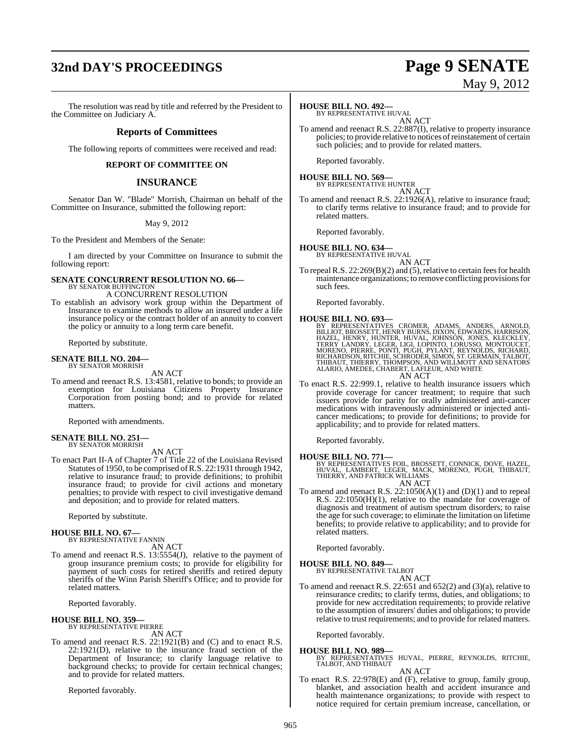## **32nd DAY'S PROCEEDINGS Page 9 SENATE**

#### The resolution was read by title and referred by the President to the Committee on Judiciary A.

#### **Reports of Committees**

The following reports of committees were received and read:

#### **REPORT OF COMMITTEE ON**

#### **INSURANCE**

Senator Dan W. "Blade" Morrish, Chairman on behalf of the Committee on Insurance, submitted the following report:

May 9, 2012

To the President and Members of the Senate:

I am directed by your Committee on Insurance to submit the following report:

#### **SENATE CONCURRENT RESOLUTION NO. 66—** BY SENATOR BUFFINGTON

A CONCURRENT RESOLUTION

To establish an advisory work group within the Department of Insurance to examine methods to allow an insured under a life insurance policy or the contract holder of an annuity to convert the policy or annuity to a long term care benefit.

Reported by substitute.

#### **SENATE BILL NO. 204—** BY SENATOR MORRISH

AN ACT

To amend and reenact R.S. 13:4581, relative to bonds; to provide an exemption for Louisiana Citizens Property Insurance Corporation from posting bond; and to provide for related matters.

Reported with amendments.

#### **SENATE BILL NO. 251—** BY SENATOR MORRISH

AN ACT

To enact Part II-A of Chapter 7 of Title 22 of the Louisiana Revised Statutes of 1950, to be comprised ofR.S. 22:1931 through 1942, relative to insurance fraud; to provide definitions; to prohibit insurance fraud; to provide for civil actions and monetary penalties; to provide with respect to civil investigative demand and deposition; and to provide for related matters.

Reported by substitute.

#### **HOUSE BILL NO. 67—**

BY REPRESENTATIVE FANNIN AN ACT

To amend and reenact R.S. 13:5554(J), relative to the payment of group insurance premium costs; to provide for eligibility for payment of such costs for retired sheriffs and retired deputy sheriffs of the Winn Parish Sheriff's Office; and to provide for related matters.

Reported favorably.

**HOUSE BILL NO. 359—**

BY REPRESENTATIVE PIERRE

AN ACT To amend and reenact R.S. 22:1921(B) and (C) and to enact R.S. 22:1921(D), relative to the insurance fraud section of the Department of Insurance; to clarify language relative to background checks; to provide for certain technical changes; and to provide for related matters.

Reported favorably.

#### **HOUSE BILL NO. 492—**

BY REPRESENTATIVE HUVAL AN ACT

To amend and reenact R.S. 22:887(I), relative to property insurance policies; to provide relative to notices of reinstatement of certain such policies; and to provide for related matters.

Reported favorably.

**HOUSE BILL NO. 569—** BY REPRESENTATIVE HUNTER

AN ACT To amend and reenact R.S. 22:1926(A), relative to insurance fraud; to clarify terms relative to insurance fraud; and to provide for related matters.

Reported favorably.

#### **HOUSE BILL NO. 634—** BY REPRESENTATIVE HUVAL

AN ACT

To repeal R.S.  $22:269(B)(2)$  and (5), relative to certain fees for health maintenance organizations; to remove conflicting provisionsfor such fees.

Reported favorably.

#### **HOUSE BILL NO. 693—**

BY REPRESENTATIVES CROMER, ADAMS, ANDERS, ARNOLD,<br>BILLIOT,BROSSETT,HENRYBURNS,DIXON,EDWARDS,HAZEL,HENRYS,HARRISON,<br>HAZEL,HENRY,HUNTER,HUVAL,JOHNSON,JONES,KLECKLEY,<br>TERRY LANDRY,LEGER,LIGI,LOPINTO,LORUSSO,MONTOUCET,<br>MORENO, AN ACT

To enact R.S. 22:999.1, relative to health insurance issuers which provide coverage for cancer treatment; to require that such issuers provide for parity for orally administered anti-cancer medications with intravenously administered or injected anticancer medications; to provide for definitions; to provide for applicability; and to provide for related matters.

Reported favorably.

#### **HOUSE BILL NO. 771—**

BY REPRESENTATIVES FOIL, BROSSETT, CONNICK, DOVE, HAZEL,<br>HUVAL, LAMBERT, LEGER, MACK, MORENO, PUGH, THIBAUT,<br>THIERRY, AND PATRICK WILLIAMS

AN ACT

To amend and reenact R.S.  $22:1050(A)(1)$  and (D)(1) and to repeal R.S. 22:1050(H)(1), relative to the mandate for coverage of diagnosis and treatment of autism spectrum disorders; to raise the age forsuch coverage; to eliminate the limitation on lifetime benefits; to provide relative to applicability; and to provide for related matters.

Reported favorably.

#### **HOUSE BILL NO. 849—**

BY REPRESENTATIVE TALBOT AN ACT

To amend and reenact R.S. 22:651 and 652(2) and (3)(a), relative to reinsurance credits; to clarify terms, duties, and obligations; to provide for new accreditation requirements; to provide relative to the assumption of insurers' duties and obligations; to provide relative to trust requirements; and to provide for related matters.

Reported favorably.

**HOUSE BILL NO. 989—** BY REPRESENTATIVES HUVAL, PIERRE, REYNOLDS, RITCHIE, TALBOT, AND THIBAUT

AN ACT

To enact R.S. 22:978(E) and (F), relative to group, family group, blanket, and association health and accident insurance and health maintenance organizations; to provide with respect to notice required for certain premium increase, cancellation, or

May 9, 2012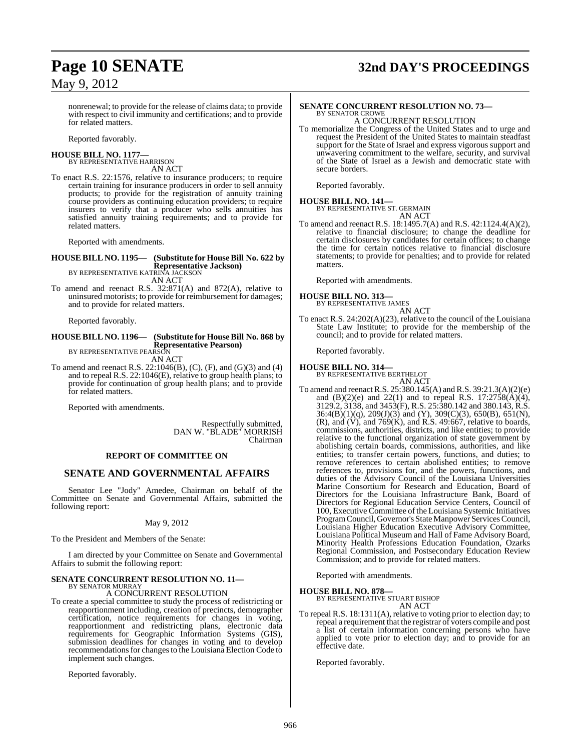## **Page 10 SENATE 32nd DAY'S PROCEEDINGS**

nonrenewal; to provide for the release of claims data; to provide with respect to civil immunity and certifications; and to provide for related matters.

Reported favorably.

#### **HOUSE BILL NO. 1177—** BY REPRESENTATIVE HARRISON

AN ACT

To enact R.S. 22:1576, relative to insurance producers; to require certain training for insurance producers in order to sell annuity products; to provide for the registration of annuity training course providers as continuing education providers; to require insurers to verify that a producer who sells annuities has satisfied annuity training requirements; and to provide for related matters.

Reported with amendments.

### **HOUSE BILL NO. 1195— (Substitute for HouseBill No. 622 by Representative Jackson)** BY REPRESENTATIVE KATRINA JACKSON

AN ACT

To amend and reenact R.S. 32:871(A) and 872(A), relative to uninsured motorists; to provide for reimbursement for damages; and to provide for related matters.

Reported favorably.

#### **HOUSE BILL NO. 1196— (Substitute for HouseBill No. 868 by Representative Pearson)** BY REPRESENTATIVE PEARSON

AN ACT

To amend and reenact R.S. 22:1046(B), (C), (F), and (G)(3) and (4) and to repeal R.S. 22:1046(E), relative to group health plans; to provide for continuation of group health plans; and to provide for related matters.

Reported with amendments.

Respectfully submitted, DAN W. "BLADE" MORRISH Chairman

#### **REPORT OF COMMITTEE ON**

### **SENATE AND GOVERNMENTAL AFFAIRS**

Senator Lee "Jody" Amedee, Chairman on behalf of the Committee on Senate and Governmental Affairs, submitted the following report:

#### May 9, 2012

To the President and Members of the Senate:

I am directed by your Committee on Senate and Governmental Affairs to submit the following report:

### **SENATE CONCURRENT RESOLUTION NO. 11—**

### BY SENATOR MURRAY A CONCURRENT RESOLUTION

To create a special committee to study the process of redistricting or reapportionment including, creation of precincts, demographer certification, notice requirements for changes in voting, reapportionment and redistricting plans, electronic data requirements for Geographic Information Systems (GIS), submission deadlines for changes in voting and to develop recommendations for changes to the Louisiana Election Code to implement such changes.

Reported favorably.

#### **SENATE CONCURRENT RESOLUTION NO. 73—** BY SENATOR CROWE

A CONCURRENT RESOLUTION To memorialize the Congress of the United States and to urge and request the President of the United States to maintain steadfast support for the State of Israel and express vigorous support and unwavering commitment to the welfare, security, and survival of the State of Israel as a Jewish and democratic state with secure borders.

Reported favorably.

#### **HOUSE BILL NO. 141—** BY REPRESENTATIVE ST. GERMAIN AN ACT

To amend and reenact R.S. 18:1495.7(A) and R.S. 42:1124.4(A)(2), relative to financial disclosure; to change the deadline for certain disclosures by candidates for certain offices; to change the time for certain notices relative to financial disclosure statements; to provide for penalties; and to provide for related matters.

Reported with amendments.

### **HOUSE BILL NO. 313—** BY REPRESENTATIVE JAMES

AN ACT

To enact R.S. 24:202(A)(23), relative to the council of the Louisiana State Law Institute; to provide for the membership of the council; and to provide for related matters.

Reported favorably.

#### **HOUSE BILL NO. 314—** BY REPRESENTATIVE BERTHELOT

AN ACT To amend and reenact R.S. 25:380.145(A) andR.S. 39:21.3(A)(2)(e) and  $(B)(2)(e)$  and  $22(1)$  and to repeal R.S.  $17:2758(A)(4)$ , 3129.2, 3138, and 3453(F), R.S. 25:380.142 and 380.143, R.S. 36:4(B)(1)(q), 209(J)(3) and (Y), 309(C)(3), 650(B), 651(N),  $(R)$ , and  $(V)$ , and  $769(K)$ , and R.S. 49:667, relative to boards, commissions, authorities, districts, and like entities; to provide relative to the functional organization of state government by abolishing certain boards, commissions, authorities, and like entities; to transfer certain powers, functions, and duties; to remove references to certain abolished entities; to remove references to, provisions for, and the powers, functions, and duties of the Advisory Council of the Louisiana Universities Marine Consortium for Research and Education, Board of Directors for the Louisiana Infrastructure Bank, Board of Directors for Regional Education Service Centers, Council of 100, Executive Committee ofthe Louisiana Systemic Initiatives Program Council, Governor's State Manpower Services Council, Louisiana Higher Education Executive Advisory Committee, Louisiana Political Museum and Hall of Fame Advisory Board, Minority Health Professions Education Foundation, Ozarks Regional Commission, and Postsecondary Education Review Commission; and to provide for related matters.

Reported with amendments.

#### **HOUSE BILL NO. 878—**

BY REPRESENTATIVE STUART BISHOP

AN ACT

To repeal R.S. 18:1311(A), relative to voting prior to election day; to repeal a requirement that the registrar of voters compile and post a list of certain information concerning persons who have applied to vote prior to election day; and to provide for an effective date.

Reported favorably.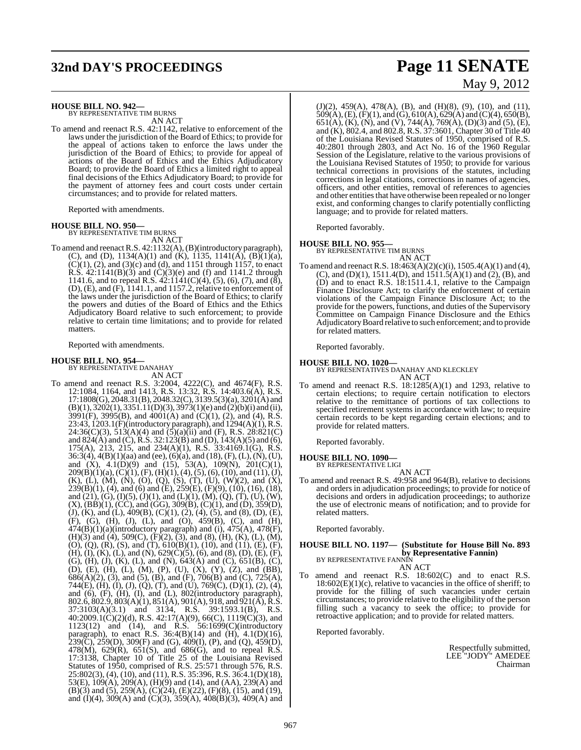### **HOUSE BILL NO. 942—** BY REPRESENTATIVE TIM BURNS

AN ACT

To amend and reenact R.S. 42:1142, relative to enforcement of the laws under the jurisdiction of the Board of Ethics; to provide for the appeal of actions taken to enforce the laws under the jurisdiction of the Board of Ethics; to provide for appeal of actions of the Board of Ethics and the Ethics Adjudicatory Board; to provide the Board of Ethics a limited right to appeal final decisions of the Ethics Adjudicatory Board; to provide for the payment of attorney fees and court costs under certain circumstances; and to provide for related matters.

Reported with amendments.

#### **HOUSE BILL NO. 950—**

BY REPRESENTATIVE TIM BURNS AN ACT

To amend and reenact R.S. 42:1132(A), (B)(introductory paragraph), (C), and (D),  $1134(A)(1)$  and (K),  $1135$ ,  $1141(A)$ ,  $(B)(1)(a)$ ,  $(C)(1)$ ,  $(2)$ , and  $(3)(c)$  and  $(d)$ , and 1151 through 1157, to enact R.S.  $42:1141(B)(3)$  and  $(C)(3)(e)$  and (f) and 1141.2 through 1141.6, and to repeal R.S.  $42:1141(C)(4)$ , (5), (6), (7), and (8), (D), (E), and (F), 1141.1, and 1157.2, relative to enforcement of the laws under the jurisdiction of the Board of Ethics; to clarify the powers and duties of the Board of Ethics and the Ethics Adjudicatory Board relative to such enforcement; to provide relative to certain time limitations; and to provide for related matters.

Reported with amendments.

### **HOUSE BILL NO. 954—** BY REPRESENTATIVE DANAHAY

AN ACT To amend and reenact R.S. 3:2004, 4222(C), and 4674(F), R.S. 12:1084, 1164, and 1413, R.S. 13:32, R.S. 14:403.6(A), R.S. 17:1808(G), 2048.31(B), 2048.32(C), 3139.5(3)(a), 3201(A) and  $(B)(1), 3202(1), 3351.11(D)(3), 3973(1)(e)$  and  $(2)(b)(i)$  and (ii),  $3991(F)$ ,  $3995(B)$ , and  $4001(A)$  and  $(C)(1)$ ,  $(2)$ , and  $(4)$ , R.S. 23:43, 1203.1(F)(introductory paragraph), and 1294(A)(1), R.S. 24:36(C)(3), 513(A)(4) and  $(5)$ (a)(ii) and (F), R.S. 28:821(C) and  $824(A)$  and (C), R.S. 32:123(B) and (D), 143(A)(5) and (6), 175(A), 213, 215, and 234(A)(1), R.S. 33:4169.1(G), R.S. 36:3(4), 4(B)(1)(aa) and (ee), (6)(a), and (18), (F), (L), (N), (U), and  $(X)$ ,  $4.1(D)(9)$  and  $(15)$ ,  $53(A)$ ,  $109(N)$ ,  $201(C)(1)$ ,  $209(B)(1)(a)$ ,  $(C)(1)$ ,  $(F)$ ,  $(H)(1)$ ,  $(4)$ ,  $(5)$ ,  $(6)$ ,  $(10)$ , and  $(11)$ ,  $(J)$ , (K), (L), (M), (N), (O), (Q), (S), (T), (U), (W)(2), and (X), 239(B)(1), (4), and (6) and (E), 259(E), (F)(9), (10), (16), (18), and  $(21)$ ,  $(G)$ ,  $(I)(5)$ ,  $(J)(1)$ , and  $(L)(1)$ ,  $(M)$ ,  $(Q)$ ,  $(T)$ ,  $(U)$ ,  $(W)$ ,  $(X)$ ,  $(BB)(1)$ ,  $(CC)$ , and  $(GG)$ ,  $309(B)$ ,  $(C)(1)$ , and  $(D)$ ,  $359(D)$ ,  $(J)$ ,  $(K)$ , and  $(L)$ ,  $409(B)$ ,  $(C)(1)$ ,  $(2)$ ,  $(4)$ ,  $(5)$ , and  $(8)$ ,  $(D)$ ,  $(E)$ , (F), (G), (H), (J), (L), and (O), 459(B), (C), and (H),  $474(B)(1)(a)$ (introductory paragraph) and (i),  $475(A)$ ,  $478(F)$ , (H)(3) and (4), 509(C), (F)(2), (3), and (8), (H), (K), (L), (M), (O), (Q), (R), (S), and (T), 610(B)(1), (10), and (11), (E), (F), (H), (I), (K), (L), and (N),  $629(C)(5)$ , (6), and (8), (D), (E), (F), (G), (H), (J), (K), (L), and (N), 643(A) and (C), 651(B), (C), (D), (E), (H), (L), (M), (P), (U), (X), (Y), (Z), and (BB), 686(A)(2), (3), and (5), (B), and (F), 706(B) and (C), 725(A), 744(E), (H), (I), (J), (Q), (T), and (U), 769(C), (D)(1), (2), (4), and (6), (F), (H), (I), and (L), 802(introductory paragraph), 802.6, 802.9, 803(A)(1), 851(A), 901(A), 918, and 921(A), R.S. 37:3103(A)(3.1) and 3134, R.S. 39:1593.1(B), R.S.  $40:2009.1(\dot{C})(2)(d)$ , R.S.  $42:17(A)(9)$ ,  $66(\dot{C})$ ,  $1119(\dot{C})(3)$ , and 1123(12) and (14), and R.S. 56:1699(C)(introductory paragraph), to enact R.S. 36:4(B)(14) and (H), 4.1(D)(16),  $239(\text{C})$ ,  $259(\text{D})$ ,  $309(\text{F})$  and (G),  $409(\text{I})$ , (P), and (Q),  $459(\text{D})$ , 478(M), 629(R), 651(S), and 686(G), and to repeal R.S. 17:3138, Chapter 10 of Title 25 of the Louisiana Revised Statutes of 1950, comprised of R.S. 25:571 through 576, R.S. 25:802(3), (4), (10), and (11), R.S. 35:396, R.S. 36:4.1(D)(18), 53(E), 109(A), 209(A), (H)(9) and (14), and (AA), 239(A) and  $(B)(3)$  and  $(5)$ ,  $259(A)$ ,  $(C)(24)$ ,  $(E)(22)$ ,  $(F)(8)$ ,  $(15)$ , and  $(19)$ , and (I)(4), 309(A) and (C)(3), 359(A), 408(B)(3), 409(A) and

## **32nd DAY'S PROCEEDINGS Page 11 SENATE** May 9, 2012

(J)(2), 459(A), 478(A), (B), and (H)(8), (9), (10), and (11),  $509(A), (E), (F)(1),$  and  $(G), 610(A), 629(A)$  and  $(C)(4), 650(B),$ 651(A), (K), (N), and (V), 744(A), 769(A), (D)(3) and (5), (E), and (K), 802.4, and 802.8, R.S. 37:3601, Chapter 30 of Title 40 of the Louisiana Revised Statutes of 1950, comprised of R.S. 40:2801 through 2803, and Act No. 16 of the 1960 Regular Session of the Legislature, relative to the various provisions of the Louisiana Revised Statutes of 1950; to provide for various technical corrections in provisions of the statutes, including corrections in legal citations, corrections in names of agencies, officers, and other entities, removal of references to agencies and other entities that have otherwise been repealed or no longer exist, and conforming changes to clarify potentially conflicting language; and to provide for related matters.

Reported favorably.

#### **HOUSE BILL NO. 955—**

BY REPRESENTATIVE TIM BURNS AN ACT

To amend and reenact R.S. 18:463(A)(2)(c)(i), 1505.4(A)(1) and (4), (C), and (D)(1), 1511.4(D), and  $\overline{1511.5(A)(1)}$  and  $\overline{(2)}$ , (B), and (D) and to enact R.S. 18:1511.4.1, relative to the Campaign Finance Disclosure Act; to clarify the enforcement of certain violations of the Campaign Finance Disclosure Act; to the provide for the powers, functions, and duties of the Supervisory Committee on Campaign Finance Disclosure and the Ethics AdjudicatoryBoard relative to such enforcement; and to provide for related matters.

Reported favorably.

#### **HOUSE BILL NO. 1020—** BY REPRESENTATIVES DANAHAY AND KLECKLEY

AN ACT

To amend and reenact R.S. 18:1285(A)(1) and 1293, relative to certain elections; to require certain notification to electors relative to the remittance of portions of tax collections to specified retirement systems in accordance with law; to require certain records to be kept regarding certain elections; and to provide for related matters.

Reported favorably.

**HOUSE BILL NO. 1090—** BY REPRESENTATIVE LIGI

AN ACT

To amend and reenact R.S. 49:958 and 964(B), relative to decisions and orders in adjudication proceedings; to provide for notice of decisions and orders in adjudication proceedings; to authorize the use of electronic means of notification; and to provide for related matters.

Reported favorably.

### **HOUSE BILL NO. 1197— (Substitute for House Bill No. 893 by Representative Fannin)**<br>BY REPRESENTATIVE FANNIN

AN ACT

To amend and reenact R.S. 18:602(C) and to enact R.S. 18:602(E)(1)(c), relative to vacancies in the office of sheriff; to provide for the filling of such vacancies under certain circumstances; to provide relative to the eligibility of the person filling such a vacancy to seek the office; to provide for retroactive application; and to provide for related matters.

Reported favorably.

Respectfully submitted, LEE "JODY" AMEDEE Chairman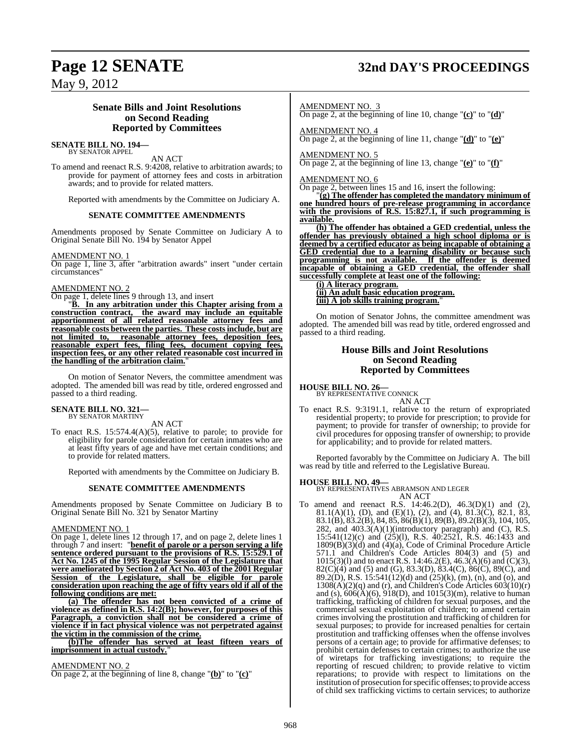## **Page 12 SENATE 32nd DAY'S PROCEEDINGS**

May 9, 2012

### **Senate Bills and Joint Resolutions on Second Reading Reported by Committees**

#### **SENATE BILL NO. 194—** BY SENATOR APPEL

AN ACT

To amend and reenact R.S. 9:4208, relative to arbitration awards; to provide for payment of attorney fees and costs in arbitration awards; and to provide for related matters.

Reported with amendments by the Committee on Judiciary A.

#### **SENATE COMMITTEE AMENDMENTS**

Amendments proposed by Senate Committee on Judiciary A to Original Senate Bill No. 194 by Senator Appel

AMENDMENT NO. 1

On page 1, line 3, after "arbitration awards" insert "under certain circumstances"

#### AMENDMENT NO. 2

On page 1, delete lines 9 through 13, and insert

"**B. In any arbitration under this Chapter arising from a construction contract, the award may include an equitable apportionment of all related reasonable attorney fees and reasonable costs between the parties. These costs include, but are not limited to, reasonable attorney fees, deposition fees, reasonable expert fees, filing fees, document copying fees, inspection fees, or any other related reasonable cost incurred in the handling of the arbitration claim.**"

On motion of Senator Nevers, the committee amendment was adopted. The amended bill was read by title, ordered engrossed and passed to a third reading.

#### **SENATE BILL NO. 321—** BY SENATOR MARTINY

AN ACT

To enact R.S. 15:574.4(A)(5), relative to parole; to provide for eligibility for parole consideration for certain inmates who are at least fifty years of age and have met certain conditions; and to provide for related matters.

Reported with amendments by the Committee on Judiciary B.

#### **SENATE COMMITTEE AMENDMENTS**

Amendments proposed by Senate Committee on Judiciary B to Original Senate Bill No. 321 by Senator Martiny

#### AMENDMENT NO. 1

On page 1, delete lines 12 through 17, and on page 2, delete lines 1 through 7 and insert: "**benefit of parole or a person serving a life sentence ordered pursuant to the provisions of R.S. 15:529.1 of Act No. 1245 of the 1995 Regular Session of the Legislature that were ameliorated by Section 2 of Act No. 403 of the 2001 Regular Session of the Legislature, shall be eligible for parole consideration upon reaching the age of fifty years old if all of the following conditions are met:**

**(a) The offender has not been convicted of a crime of violence as defined in R.S. 14:2(B); however, for purposes of this Paragraph, a conviction shall not be considered a crime of violence if in fact physical violence was not perpetrated against the victim in the commission of the crime.**

**(b)The offender has served at least fifteen years of** imprisonment in actual custody.

#### AMENDMENT NO. 2

On page 2, at the beginning of line 8, change "**(b)**" to "**(c)**"

AMENDMENT NO. 3

On page 2, at the beginning of line 10, change "**(c)**" to "**(d)**"

AMENDMENT NO. 4

On page 2, at the beginning of line 11, change "**(d)**" to "**(e)**"

#### AMENDMENT NO. 5 On page 2, at the beginning of line 13, change "**(e)**" to "**(f)**"

AMENDMENT NO. 6

On page 2, between lines 15 and 16, insert the following:

"**(g) The offender has completed the mandatory minimum of one hundred hours of pre-release programming in accordance with the provisions of R.S. 15:827.1, if such programming is available.**

**(h) The offender has obtained a GED credential, unless the offender has previously obtained a high school diploma or is deemed by a certified educator as being incapable of obtaining a GED credential due to a learning disability or because such programming is not available. If the offender is deemed incapable of obtaining a GED credential, the offender shall successfully complete at least one of the following:**

**(i) A literacy program. (ii) An adult basic education program. (iii) A job skills training program.**"

On motion of Senator Johns, the committee amendment was adopted. The amended bill was read by title, ordered engrossed and passed to a third reading.

#### **House Bills and Joint Resolutions on Second Reading Reported by Committees**

### **HOUSE BILL NO. 26—** BY REPRESENTATIVE CONNICK

AN ACT

To enact R.S. 9:3191.1, relative to the return of expropriated residential property; to provide for prescription; to provide for payment; to provide for transfer of ownership; to provide for civil procedures for opposing transfer of ownership; to provide for applicability; and to provide for related matters.

Reported favorably by the Committee on Judiciary A. The bill was read by title and referred to the Legislative Bureau.

#### **HOUSE BILL NO. 49—**

BY REPRESENTATIVES ABRAMSON AND LEGER AN ACT

To amend and reenact R.S. 14:46.2(D), 46.3(D)(1) and (2), 81.1(A)(1), (D), and (E)(1), (2), and (4), 81.3(C), 82.1, 83, 83.1(B), 83.2(B), 84, 85, 86(B)(1), 89(B), 89.2(B)(3), 104, 105, 282, and 403.3(A)(1)(introductory paragraph) and (C), R.S. 15:541(12)(c) and (25)(l), R.S. 40:2521, R.S. 46:1433 and 1809(B)(3)(d) and (4)(a), Code of Criminal Procedure Article 571.1 and Children's Code Articles 804(3) and (5) and 1015(3)(1) and to enact R.S. 14:46.2(E), 46.3( $\vec{A}$ )(6) and (C)(3), 82(C)(4) and (5) and (G), 83.3(D), 83.4(C), 86(C), 89(C), and 89.2(D), R.S. 15:541(12)(d) and (25)(k), (m), (n), and (o), and  $1308(A)(2)(q)$  and (r), and Children's Code Articles  $603(10)(r)$ and (s),  $606(A)(6)$ ,  $918(D)$ , and  $1015(3)(m)$ , relative to human trafficking, trafficking of children for sexual purposes, and the commercial sexual exploitation of children; to amend certain crimes involving the prostitution and trafficking of children for sexual purposes; to provide for increased penalties for certain prostitution and trafficking offenses when the offense involves persons of a certain age; to provide for affirmative defenses; to prohibit certain defenses to certain crimes; to authorize the use of wiretaps for trafficking investigations; to require the reporting of rescued children; to provide relative to victim reparations; to provide with respect to limitations on the institution of prosecution forspecific offenses; to provide access of child sex trafficking victims to certain services; to authorize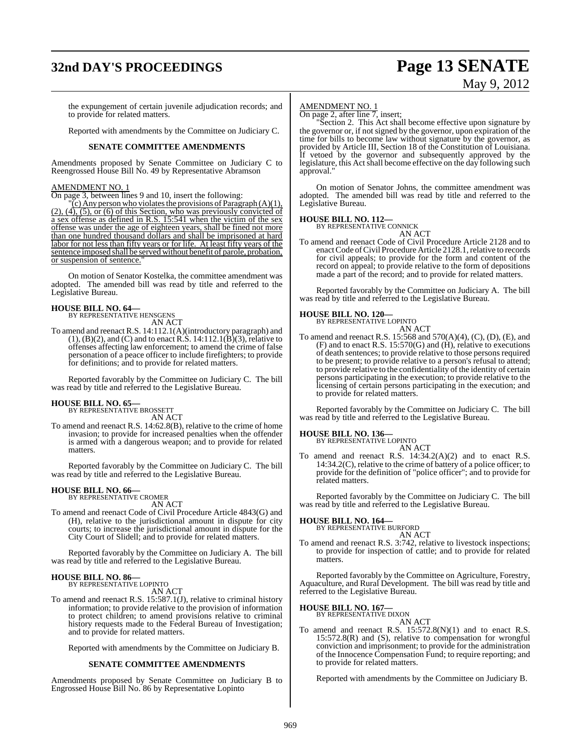## **32nd DAY'S PROCEEDINGS Page 13 SENATE**

# May 9, 2012

the expungement of certain juvenile adjudication records; and to provide for related matters.

Reported with amendments by the Committee on Judiciary C.

#### **SENATE COMMITTEE AMENDMENTS**

Amendments proposed by Senate Committee on Judiciary C to Reengrossed House Bill No. 49 by Representative Abramson

#### AMENDMENT NO. 1

On page 3, between lines 9 and 10, insert the following:

 $\chi$ <sup>(c</sup>) Any person who violates the provisions of Paragraph (A)(1),  $(2)$ ,  $(4)$ ,  $(5)$ , or  $(6)$  of this Section, who was previously convicted of a sex offense as defined in R.S. 15:541 when the victim of the sex offense was under the age of eighteen years, shall be fined not more than one hundred thousand dollars and shall be imprisoned at hard labor for not less than fifty years or for life. At least fifty years of the sentence imposed shall be served without benefit of parole, probation, or suspension of sentence."

On motion of Senator Kostelka, the committee amendment was adopted. The amended bill was read by title and referred to the Legislative Bureau.

### **HOUSE BILL NO. 64—** BY REPRESENTATIVE HENSGENS

AN ACT

To amend and reenact R.S. 14:112.1(A)(introductory paragraph) and  $(1)$ ,  $(B)(2)$ , and  $(C)$  and to enact R.S. 14:112.1 $(\dot{B})(3)$ , relative to offenses affecting law enforcement; to amend the crime of false personation of a peace officer to include firefighters; to provide for definitions; and to provide for related matters.

Reported favorably by the Committee on Judiciary C. The bill was read by title and referred to the Legislative Bureau.

#### **HOUSE BILL NO. 65—**

BY REPRESENTATIVE BROSSETT AN ACT

To amend and reenact R.S. 14:62.8(B), relative to the crime of home invasion; to provide for increased penalties when the offender is armed with a dangerous weapon; and to provide for related matters.

Reported favorably by the Committee on Judiciary C. The bill was read by title and referred to the Legislative Bureau.

## **HOUSE BILL NO. 66—** BY REPRESENTATIVE CROMER

AN ACT

To amend and reenact Code of Civil Procedure Article 4843(G) and (H), relative to the jurisdictional amount in dispute for city courts; to increase the jurisdictional amount in dispute for the City Court of Slidell; and to provide for related matters.

Reported favorably by the Committee on Judiciary A. The bill was read by title and referred to the Legislative Bureau.

#### **HOUSE BILL NO. 86—** BY REPRESENTATIVE LOPINTO

AN ACT

To amend and reenact R.S. 15:587.1(J), relative to criminal history information; to provide relative to the provision of information to protect children; to amend provisions relative to criminal history requests made to the Federal Bureau of Investigation; and to provide for related matters.

Reported with amendments by the Committee on Judiciary B.

#### **SENATE COMMITTEE AMENDMENTS**

Amendments proposed by Senate Committee on Judiciary B to Engrossed House Bill No. 86 by Representative Lopinto

#### AMENDMENT NO. 1

On page 2, after line 7, insert;

"Section 2. This Act shall become effective upon signature by the governor or, if not signed by the governor, upon expiration of the time for bills to become law without signature by the governor, as provided by Article III, Section 18 of the Constitution of Louisiana. If vetoed by the governor and subsequently approved by the legislature, this Act shall become effective on the day following such approval."

On motion of Senator Johns, the committee amendment was adopted. The amended bill was read by title and referred to the Legislative Bureau.

### **HOUSE BILL NO. 112—** BY REPRESENTATIVE CONNICK

AN ACT

To amend and reenact Code of Civil Procedure Article 2128 and to enact Code of Civil Procedure Article 2128.1, relative to records for civil appeals; to provide for the form and content of the record on appeal; to provide relative to the form of depositions made a part of the record; and to provide for related matters.

Reported favorably by the Committee on Judiciary A. The bill was read by title and referred to the Legislative Bureau.

#### **HOUSE BILL NO. 120—**

BY REPRESENTATIVE LOPINTO

AN ACT To amend and reenact R.S. 15:568 and 570(A)(4), (C), (D), (E), and (F) and to enact R.S. 15:570(G) and (H), relative to executions of death sentences; to provide relative to those persons required to be present; to provide relative to a person's refusal to attend; to provide relative to the confidentiality of the identity of certain persons participating in the execution; to provide relative to the licensing of certain persons participating in the execution; and to provide for related matters.

Reported favorably by the Committee on Judiciary C. The bill was read by title and referred to the Legislative Bureau.

## **HOUSE BILL NO. 136—** BY REPRESENTATIVE LOPINTO

AN ACT

To amend and reenact R.S. 14:34.2(A)(2) and to enact R.S. 14:34.2(C), relative to the crime of battery of a police officer; to provide for the definition of "police officer"; and to provide for related matters.

Reported favorably by the Committee on Judiciary C. The bill was read by title and referred to the Legislative Bureau.

#### **HOUSE BILL NO. 164—**

BY REPRESENTATIVE BURFORD AN ACT

To amend and reenact R.S. 3:742, relative to livestock inspections; to provide for inspection of cattle; and to provide for related matters.

Reported favorably by the Committee on Agriculture, Forestry, Aquaculture, and Rural Development. The bill was read by title and referred to the Legislative Bureau.

#### **HOUSE BILL NO. 167—**

BY REPRESENTATIVE DIXON AN ACT

To amend and reenact R.S.  $15:572.8(N)(1)$  and to enact R.S. 15:572.8(R) and (S), relative to compensation for wrongful conviction and imprisonment; to provide for the administration of the Innocence Compensation Fund; to require reporting; and to provide for related matters.

Reported with amendments by the Committee on Judiciary B.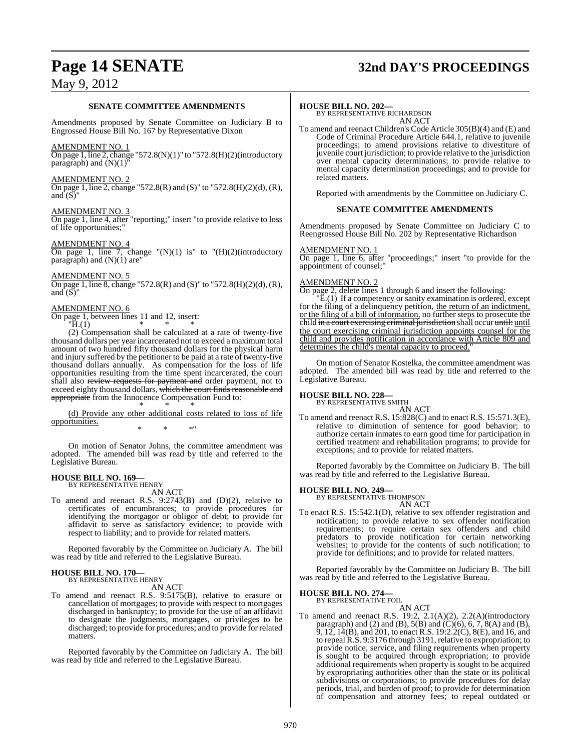## **Page 14 SENATE 32nd DAY'S PROCEEDINGS**

### May 9, 2012

#### **SENATE COMMITTEE AMENDMENTS**

Amendments proposed by Senate Committee on Judiciary B to Engrossed House Bill No. 167 by Representative Dixon

#### AMENDMENT NO. 1

On page 1, line 2, change "572.8(N)(1)" to "572.8(H)(2)(introductory  $p^2$  paragraph) and  $(N)(1)$ 

#### AMENDMENT NO. 2

On page 1, line 2, change "572.8(R) and (S)" to "572.8(H)(2)(d), (R), and  $(S)$ 

#### AMENDMENT NO. 3

On page 1, line 4, after "reporting;" insert "to provide relative to loss of life opportunities;"

#### AMENDMENT NO. 4

On page 1, line 7, change " $(N)(1)$  is" to " $(H)(2)$ (introductory paragraph) and  $(N)(1)$  are"

#### AMENDMENT NO. 5

On page 1, line 8, change "572.8(R) and (S)" to "572.8(H)(2)(d), (R), and  $(S)$ 

#### AMENDMENT NO. 6

On page 1, between lines 11 and 12, insert:

 $H.(1)$ 

(2) Compensation shall be calculated at a rate of twenty-five thousand dollars per year incarcerated not to exceed a maximumtotal amount of two hundred fifty thousand dollars for the physical harm and injury suffered by the petitioner to be paid at a rate of twenty-five thousand dollars annually. As compensation for the loss of life opportunities resulting from the time spent incarcerated, the court shall also review requests for payment and order payment, not to exceed eighty thousand dollars, which the court finds reasonable and appropriate from the Innocence Compensation Fund to: \* \* \*

(d) Provide any other additional costs related to loss of life opportunities. \* \* \*"

On motion of Senator Johns, the committee amendment was adopted. The amended bill was read by title and referred to the Legislative Bureau.

#### **HOUSE BILL NO. 169—** BY REPRESENTATIVE HENRY

AN ACT

To amend and reenact R.S. 9:2743(B) and (D)(2), relative to certificates of encumbrances; to provide procedures for identifying the mortgagor or obligor of debt; to provide for affidavit to serve as satisfactory evidence; to provide with respect to liability; and to provide for related matters.

Reported favorably by the Committee on Judiciary A. The bill was read by title and referred to the Legislative Bureau.

## **HOUSE BILL NO. 170—** BY REPRESENTATIVE HENRY

AN ACT

To amend and reenact R.S. 9:5175(B), relative to erasure or cancellation of mortgages; to provide with respect to mortgages discharged in bankruptcy; to provide for the use of an affidavit to designate the judgments, mortgages, or privileges to be discharged; to provide for procedures; and to provide for related matters.

Reported favorably by the Committee on Judiciary A. The bill was read by title and referred to the Legislative Bureau.

#### **HOUSE BILL NO. 202—**

BY REPRESENTATIVE RICHARDSON AN ACT

To amend and reenact Children's Code Article 305(B)(4) and (E) and Code of Criminal Procedure Article 644.1, relative to juvenile proceedings; to amend provisions relative to divestiture of juvenile court jurisdiction; to provide relative to the jurisdiction over mental capacity determinations; to provide relative to mental capacity determination proceedings; and to provide for related matters.

Reported with amendments by the Committee on Judiciary C.

#### **SENATE COMMITTEE AMENDMENTS**

Amendments proposed by Senate Committee on Judiciary C to Reengrossed House Bill No. 202 by Representative Richardson

#### AMENDMENT NO. 1

On page 1, line 6, after "proceedings;" insert "to provide for the appointment of counsel;"

#### AMENDMENT NO. 2

On page 2, delete lines 1 through 6 and insert the following:

"E.(1) If a competency or sanity examination is ordered, except for the filing of a delinquency petition, the return of an indictment, or the filing of a bill of information, no further steps to prosecute the child in a court exercising criminal jurisdiction shall occur until: until the court exercising criminal jurisdiction appoints counsel for the child and provides notification in accordance with Article 809 and determines the child's mental capacity to proceed.

On motion of Senator Kostelka, the committee amendment was adopted. The amended bill was read by title and referred to the Legislative Bureau.

## **HOUSE BILL NO. 228—** BY REPRESENTATIVE SMITH

AN ACT To amend and reenact R.S. 15:828(C) and to enact R.S. 15:571.3(E), relative to diminution of sentence for good behavior; to authorize certain inmates to earn good time for participation in certified treatment and rehabilitation programs; to provide for exceptions; and to provide for related matters.

Reported favorably by the Committee on Judiciary B. The bill was read by title and referred to the Legislative Bureau.

**HOUSE BILL NO. 249—** BY REPRESENTATIVE THOMPSON

- AN ACT
- To enact R.S. 15:542.1(D), relative to sex offender registration and notification; to provide relative to sex offender notification requirements; to require certain sex offenders and child predators to provide notification for certain networking websites; to provide for the contents of such notification; to provide for definitions; and to provide for related matters.

Reported favorably by the Committee on Judiciary B. The bill was read by title and referred to the Legislative Bureau.

## **HOUSE BILL NO. 274—** BY REPRESENTATIVE FOIL

AN ACT

To amend and reenact R.S. 19:2, 2.1(A)(2), 2.2(A)(introductory paragraph) and (2) and (B),  $5(B)$  and (C)(6), 6, 7, 8(A) and (B), 9, 12, 14(B), and 201, to enact R.S. 19:2.2(C), 8(E), and 16, and to repeal R.S. 9:3176 through 3191, relative to expropriation; to provide notice, service, and filing requirements when property is sought to be acquired through expropriation; to provide additional requirements when property is sought to be acquired by expropriating authorities other than the state or its political subdivisions or corporations; to provide procedures for delay periods, trial, and burden of proof; to provide for determination of compensation and attorney fees; to repeal outdated or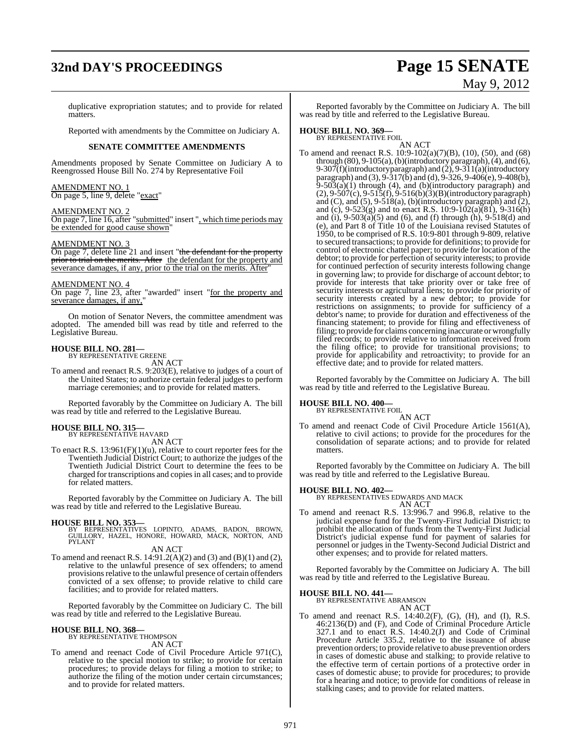## **32nd DAY'S PROCEEDINGS Page 15 SENATE** May 9, 2012

duplicative expropriation statutes; and to provide for related matters.

Reported with amendments by the Committee on Judiciary A.

#### **SENATE COMMITTEE AMENDMENTS**

Amendments proposed by Senate Committee on Judiciary A to Reengrossed House Bill No. 274 by Representative Foil

AMENDMENT NO. 1 On page 5, line 9, delete "exact"

#### AMENDMENT NO. 2

On page 7, line 16, after "submitted" insert ", which time periods may be extended for good cause shown"

#### AMENDMENT NO. 3

On page 7, delete line 21 and insert "the defendant for the property prior to trial on the merits. After the defendant for the property and severance damages, if any, prior to the trial on the merits. After

#### AMENDMENT NO. 4

On page 7, line 23, after "awarded" insert "for the property and severance damages, if any,"

On motion of Senator Nevers, the committee amendment was adopted. The amended bill was read by title and referred to the Legislative Bureau.

### **HOUSE BILL NO. 281—** BY REPRESENTATIVE GREENE

AN ACT

To amend and reenact R.S. 9:203(E), relative to judges of a court of the United States; to authorize certain federal judges to perform marriage ceremonies; and to provide for related matters.

Reported favorably by the Committee on Judiciary A. The bill was read by title and referred to the Legislative Bureau.

## **HOUSE BILL NO. 315—** BY REPRESENTATIVE HAVARD

AN ACT

To enact R.S.  $13:961(F)(1)(u)$ , relative to court reporter fees for the Twentieth Judicial District Court; to authorize the judges of the Twentieth Judicial District Court to determine the fees to be charged for transcriptions and copiesin all cases; and to provide for related matters.

Reported favorably by the Committee on Judiciary A. The bill was read by title and referred to the Legislative Bureau.

**HOUSE BILL NO. 353—** BY REPRESENTATIVES LOPINTO, ADAMS, BADON, BROWN, GUILLORY, HAZEL, HONORE, HOWARD, MACK, NORTON, AND PYLANT

#### AN ACT

To amend and reenact R.S.  $14:91.2(A)(2)$  and  $(3)$  and  $(B)(1)$  and  $(2)$ , relative to the unlawful presence of sex offenders; to amend provisions relative to the unlawful presence of certain offenders convicted of a sex offense; to provide relative to child care facilities; and to provide for related matters.

Reported favorably by the Committee on Judiciary C. The bill was read by title and referred to the Legislative Bureau.

#### **HOUSE BILL NO. 368—**

BY REPRESENTATIVE THOMPSON AN ACT

To amend and reenact Code of Civil Procedure Article 971(C), relative to the special motion to strike; to provide for certain procedures; to provide delays for filing a motion to strike; to authorize the filing of the motion under certain circumstances; and to provide for related matters.

Reported favorably by the Committee on Judiciary A. The bill was read by title and referred to the Legislative Bureau.

### **HOUSE BILL NO. 369—** BY REPRESENTATIVE FOIL

AN ACT

To amend and reenact R.S. 10:9-102(a)(7)(B), (10), (50), and (68) through (80), 9-105(a), (b)(introductory paragraph), (4), and (6), 9-307(f)(introductory paragraph) and  $(2)$ , 9-311(a)(introductory paragraph) and (3), 9-317(b) and (d), 9-326, 9-406(e), 9-408(b),  $9-503(a)(1)$  through (4), and (b)(introductory paragraph) and (2), 9-507(c), 9-515(f), 9-516(b)(3)(B)(introductory paragraph) and  $(C)$ , and  $(5)$ ,  $9-518(a)$ ,  $(b)$ (introductory paragraph) and  $(2)$ , and (c),  $9-523(g)$  and to enact R.S. 10:9-102(a)(81), 9-316(h) and (i),  $9-503(a)(5)$  and (6), and (f) through (h),  $9-518(d)$  and (e), and Part 8 of Title 10 of the Louisiana revised Statutes of 1950, to be comprised of R.S. 10:9-801 through 9-809, relative to secured transactions; to provide for definitions; to provide for control of electronic chattel paper; to provide for location of the debtor; to provide for perfection of security interests; to provide for continued perfection of security interests following change in governing law; to provide for discharge of account debtor; to provide for interests that take priority over or take free of security interests or agricultural liens; to provide for priority of security interests created by a new debtor; to provide for restrictions on assignments; to provide for sufficiency of a debtor's name; to provide for duration and effectiveness of the financing statement; to provide for filing and effectiveness of filing; to provide for claims concerning inaccurate or wrongfully filed records; to provide relative to information received from the filing office; to provide for transitional provisions; to provide for applicability and retroactivity; to provide for an effective date; and to provide for related matters.

Reported favorably by the Committee on Judiciary A. The bill was read by title and referred to the Legislative Bureau.

### **HOUSE BILL NO. 400—**

BY REPRESENTATIVE FOIL AN ACT

To amend and reenact Code of Civil Procedure Article 1561(A), relative to civil actions; to provide for the procedures for the consolidation of separate actions; and to provide for related matters.

Reported favorably by the Committee on Judiciary A. The bill was read by title and referred to the Legislative Bureau.

**HOUSE BILL NO. 402—** BY REPRESENTATIVES EDWARDS AND MACK

AN ACT To amend and reenact R.S. 13:996.7 and 996.8, relative to the judicial expense fund for the Twenty-First Judicial District; to prohibit the allocation of funds from the Twenty-First Judicial District's judicial expense fund for payment of salaries for personnel or judges in the Twenty-Second Judicial District and other expenses; and to provide for related matters.

Reported favorably by the Committee on Judiciary A. The bill was read by title and referred to the Legislative Bureau.

### **HOUSE BILL NO. 441—** BY REPRESENTATIVE ABRAMSON

AN ACT

To amend and reenact R.S. 14:40.2(F), (G), (H), and (I), R.S. 46:2136(D) and (F), and Code of Criminal Procedure Article 327.1 and to enact R.S. 14:40.2(J) and Code of Criminal Procedure Article 335.2, relative to the issuance of abuse prevention orders; to provide relative to abuse prevention orders in cases of domestic abuse and stalking; to provide relative to the effective term of certain portions of a protective order in cases of domestic abuse; to provide for procedures; to provide for a hearing and notice; to provide for conditions of release in stalking cases; and to provide for related matters.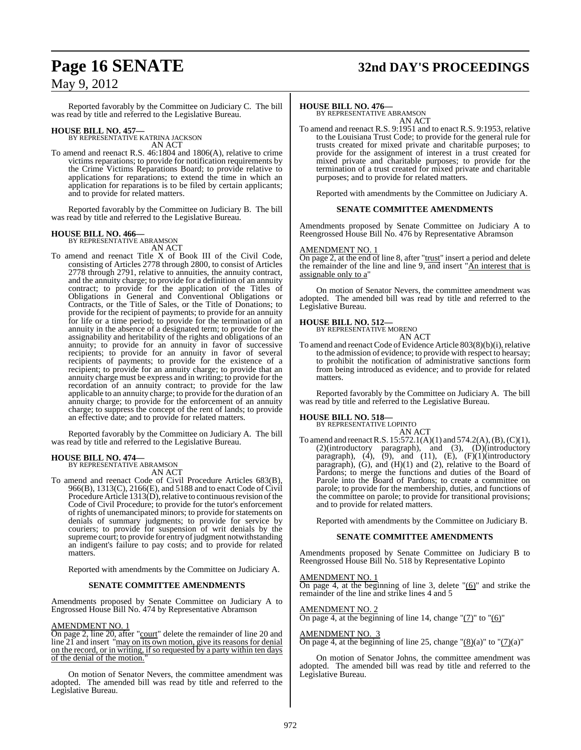## **Page 16 SENATE 32nd DAY'S PROCEEDINGS**

### May 9, 2012

Reported favorably by the Committee on Judiciary C. The bill was read by title and referred to the Legislative Bureau.

**HOUSE BILL NO. 457—** BY REPRESENTATIVE KATRINA JACKSON AN ACT

To amend and reenact R.S. 46:1804 and 1806(A), relative to crime victims reparations; to provide for notification requirements by the Crime Victims Reparations Board; to provide relative to applications for reparations; to extend the time in which an application for reparations is to be filed by certain applicants; and to provide for related matters.

Reported favorably by the Committee on Judiciary B. The bill was read by title and referred to the Legislative Bureau.

## **HOUSE BILL NO. 466—** BY REPRESENTATIVE ABRAMSON

AN ACT

To amend and reenact Title X of Book III of the Civil Code, consisting of Articles 2778 through 2800, to consist of Articles 2778 through 2791, relative to annuities, the annuity contract, and the annuity charge; to provide for a definition of an annuity contract; to provide for the application of the Titles of Obligations in General and Conventional Obligations or Contracts, or the Title of Sales, or the Title of Donations; to provide for the recipient of payments; to provide for an annuity for life or a time period; to provide for the termination of an annuity in the absence of a designated term; to provide for the assignability and heritability of the rights and obligations of an annuity; to provide for an annuity in favor of successive recipients; to provide for an annuity in favor of several recipients of payments; to provide for the existence of a recipient; to provide for an annuity charge; to provide that an annuity charge must be express and in writing; to provide for the recordation of an annuity contract; to provide for the law applicable to an annuity charge; to provide for the duration of an annuity charge; to provide for the enforcement of an annuity charge; to suppress the concept of the rent of lands; to provide an effective date; and to provide for related matters.

Reported favorably by the Committee on Judiciary A. The bill was read by title and referred to the Legislative Bureau.

#### **HOUSE BILL NO. 474—**

BY REPRESENTATIVE ABRAMSON AN ACT

To amend and reenact Code of Civil Procedure Articles 683(B), 966(B), 1313(C), 2166(E), and 5188 and to enact Code of Civil Procedure Article 1313(D), relative to continuous revision of the Code of Civil Procedure; to provide for the tutor's enforcement of rights of unemancipated minors; to provide for statements on denials of summary judgments; to provide for service by couriers; to provide for suspension of writ denials by the supreme court; to provide for entry of judgment notwithstanding an indigent's failure to pay costs; and to provide for related matters.

Reported with amendments by the Committee on Judiciary A.

#### **SENATE COMMITTEE AMENDMENTS**

Amendments proposed by Senate Committee on Judiciary A to Engrossed House Bill No. 474 by Representative Abramson

#### AMENDMENT NO. 1

On page 2, line 20, after "court" delete the remainder of line 20 and line 21 and insert "may on its own motion, give its reasons for denial on the record, or in writing, if so requested by a party within ten days of the denial of the motion.

On motion of Senator Nevers, the committee amendment was adopted. The amended bill was read by title and referred to the Legislative Bureau.

**HOUSE BILL NO. 476—** BY REPRESENTATIVE ABRAMSON AN ACT

To amend and reenact R.S. 9:1951 and to enact R.S. 9:1953, relative to the Louisiana Trust Code; to provide for the general rule for trusts created for mixed private and charitable purposes; to provide for the assignment of interest in a trust created for mixed private and charitable purposes; to provide for the termination of a trust created for mixed private and charitable purposes; and to provide for related matters.

Reported with amendments by the Committee on Judiciary A.

#### **SENATE COMMITTEE AMENDMENTS**

Amendments proposed by Senate Committee on Judiciary A to Reengrossed House Bill No. 476 by Representative Abramson

#### AMENDMENT NO. 1

On page 2, at the end of line 8, after "trust" insert a period and delete the remainder of the line and line 9, and insert "An interest that is assignable only to a

On motion of Senator Nevers, the committee amendment was adopted. The amended bill was read by title and referred to the Legislative Bureau.

#### **HOUSE BILL NO. 512—**

BY REPRESENTATIVE MORENO

AN ACT To amend and reenact Code of Evidence Article 803(8)(b)(i), relative to the admission of evidence; to provide with respect to hearsay; to prohibit the notification of administrative sanctions form from being introduced as evidence; and to provide for related matters.

Reported favorably by the Committee on Judiciary A. The bill was read by title and referred to the Legislative Bureau.

#### **HOUSE BILL NO. 518—**

BY REPRESENTATIVE LOPINTO AN ACT

To amend and reenactR.S. 15:572.1(A)(1) and 574.2(A),(B),(C)(1), (2)(introductory paragraph), and (3), (D)(introductory paragraph),  $(4)$ ,  $(9)$ , and  $(11)$ ,  $(E)$ ,  $(F)(1)$ (introductory paragraph), (G), and (H)(1) and (2), relative to the Board of Pardons; to merge the functions and duties of the Board of Parole into the Board of Pardons; to create a committee on parole; to provide for the membership, duties, and functions of the committee on parole; to provide for transitional provisions; and to provide for related matters.

Reported with amendments by the Committee on Judiciary B.

#### **SENATE COMMITTEE AMENDMENTS**

Amendments proposed by Senate Committee on Judiciary B to Reengrossed House Bill No. 518 by Representative Lopinto

#### AMENDMENT NO. 1

On page 4, at the beginning of line 3, delete "(6)" and strike the remainder of the line and strike lines 4 and 5

#### AMENDMENT NO. 2

On page 4, at the beginning of line 14, change " $(7)$ " to " $(6)$ "

#### AMENDMENT NO. 3

On page 4, at the beginning of line 25, change " $(8)(a)$ " to " $(7)(a)$ "

On motion of Senator Johns, the committee amendment was adopted. The amended bill was read by title and referred to the Legislative Bureau.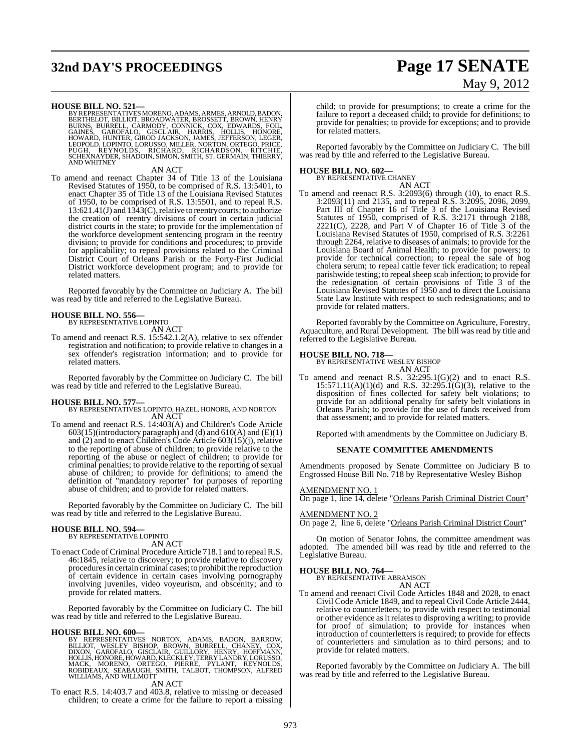## **32nd DAY'S PROCEEDINGS Page 17 SENATE**

# May 9, 2012

**HOUSE BILL NO. 521—**<br>BY REPRESENTATIVES MORENO, ADAMS, ARMES, ARNOLD, BADON,<br>BERTHELOT, BILLIOT, BROADWATER, BROSSETT, BROWN, HENRY<br>BURNS, BURRELL, CARMODY, CONNICK, COX, EDWARDS, FOIL,<br>GAINES, GAROFALO, GISCLAIR, HARRIS,

#### AN ACT

To amend and reenact Chapter 34 of Title 13 of the Louisiana Revised Statutes of 1950, to be comprised of R.S. 13:5401, to enact Chapter 35 of Title 13 of the Louisiana Revised Statutes of 1950, to be comprised of R.S. 13:5501, and to repeal R.S. 13:621.41(J) and 1343(C),relative to reentry courts; to authorize the creation of reentry divisions of court in certain judicial district courts in the state; to provide for the implementation of the workforce development sentencing program in the reentry division; to provide for conditions and procedures; to provide for applicability; to repeal provisions related to the Criminal District Court of Orleans Parish or the Forty-First Judicial District workforce development program; and to provide for related matters.

Reported favorably by the Committee on Judiciary A. The bill was read by title and referred to the Legislative Bureau.

#### **HOUSE BILL NO. 556—**

BY REPRESENTATIVE LOPINTO AN ACT

To amend and reenact R.S. 15:542.1.2(A), relative to sex offender registration and notification; to provide relative to changes in a sex offender's registration information; and to provide for related matters.

Reported favorably by the Committee on Judiciary C. The bill was read by title and referred to the Legislative Bureau.

#### **HOUSE BILL NO. 577—**

BY REPRESENTATIVES LOPINTO, HAZEL, HONORE, AND NORTON AN ACT

To amend and reenact R.S. 14:403(A) and Children's Code Article 603(15)(introductory paragraph) and (d) and 610(A) and (E)(1) and (2) and to enact Children's Code Article 603(15)(j), relative to the reporting of abuse of children; to provide relative to the reporting of the abuse or neglect of children; to provide for criminal penalties; to provide relative to the reporting of sexual abuse of children; to provide for definitions; to amend the definition of "mandatory reporter" for purposes of reporting abuse of children; and to provide for related matters.

Reported favorably by the Committee on Judiciary C. The bill was read by title and referred to the Legislative Bureau.

### **HOUSE BILL NO. 594—** BY REPRESENTATIVE LOPINTO

AN ACT

To enact Code of Criminal Procedure Article 718.1 and to repeal R.S. 46:1845, relative to discovery; to provide relative to discovery procedures in certain criminal cases; to prohibit the reproduction of certain evidence in certain cases involving pornography involving juveniles, video voyeurism, and obscenity; and to provide for related matters.

Reported favorably by the Committee on Judiciary C. The bill was read by title and referred to the Legislative Bureau.

**HOUSE BILL NO. 600—**<br>BY REPRESENTATIVES NORTON, ADAMS, BADON, BARROW, BLLIOT, WESLEY BISHOP, BROWN, BURRELL, CHANEY, COX,<br>DIXON, GAROFALO, GISCLAIR, GUILLORY, HENRY, HOFFMANN,<br>HOLLIS, HONORE, HOWARD, KLECKLEY, TERRY LANDR

AN ACT

To enact R.S. 14:403.7 and 403.8, relative to missing or deceased children; to create a crime for the failure to report a missing child; to provide for presumptions; to create a crime for the failure to report a deceased child; to provide for definitions; to provide for penalties; to provide for exceptions; and to provide for related matters.

Reported favorably by the Committee on Judiciary C. The bill was read by title and referred to the Legislative Bureau.

**HOUSE BILL NO. 602—** BY REPRESENTATIVE CHANEY AN ACT

To amend and reenact R.S. 3:2093(6) through (10), to enact R.S. 3:2093(11) and 2135, and to repeal R.S. 3:2095, 2096, 2099, Part III of Chapter 16 of Title 3 of the Louisiana Revised Statutes of 1950, comprised of R.S. 3:2171 through 2188, 2221(C), 2228, and Part V of Chapter 16 of Title 3 of the Louisiana Revised Statutes of 1950, comprised of R.S. 3:2261 through 2264, relative to diseases of animals; to provide for the Louisiana Board of Animal Health; to provide for powers; to provide for technical correction; to repeal the sale of hog cholera serum; to repeal cattle fever tick eradication; to repeal parishwide testing; to repeal sheep scab infection; to provide for the redesignation of certain provisions of Title 3 of the Louisiana Revised Statutes of 1950 and to direct the Louisiana State Law Institute with respect to such redesignations; and to provide for related matters.

Reported favorably by the Committee on Agriculture, Forestry, Aquaculture, and Rural Development. The bill was read by title and referred to the Legislative Bureau.

**HOUSE BILL NO. 718—** BY REPRESENTATIVE WESLEY BISHOP AN ACT

To amend and reenact R.S. 32:295.1(G)(2) and to enact R.S. 15:571.11(A)(1)(d) and R.S. 32:295.1(G)(3), relative to the disposition of fines collected for safety belt violations; to provide for an additional penalty for safety belt violations in Orleans Parish; to provide for the use of funds received from that assessment; and to provide for related matters.

Reported with amendments by the Committee on Judiciary B.

#### **SENATE COMMITTEE AMENDMENTS**

Amendments proposed by Senate Committee on Judiciary B to Engrossed House Bill No. 718 by Representative Wesley Bishop

AMENDMENT NO. 1

On page 1, line 14, delete "Orleans Parish Criminal District Court"

#### AMENDMENT NO. 2

On page 2, line 6, delete "Orleans Parish Criminal District Court"

On motion of Senator Johns, the committee amendment was adopted. The amended bill was read by title and referred to the Legislative Bureau.

#### **HOUSE BILL NO. 764—**

BY REPRESENTATIVE ABRAMSON AN ACT

To amend and reenact Civil Code Articles 1848 and 2028, to enact Civil Code Article 1849, and to repeal Civil Code Article 2444, relative to counterletters; to provide with respect to testimonial or other evidence as it relates to disproving a writing; to provide for proof of simulation; to provide for instances when introduction of counterletters is required; to provide for effects of counterletters and simulation as to third persons; and to provide for related matters.

Reported favorably by the Committee on Judiciary A. The bill was read by title and referred to the Legislative Bureau.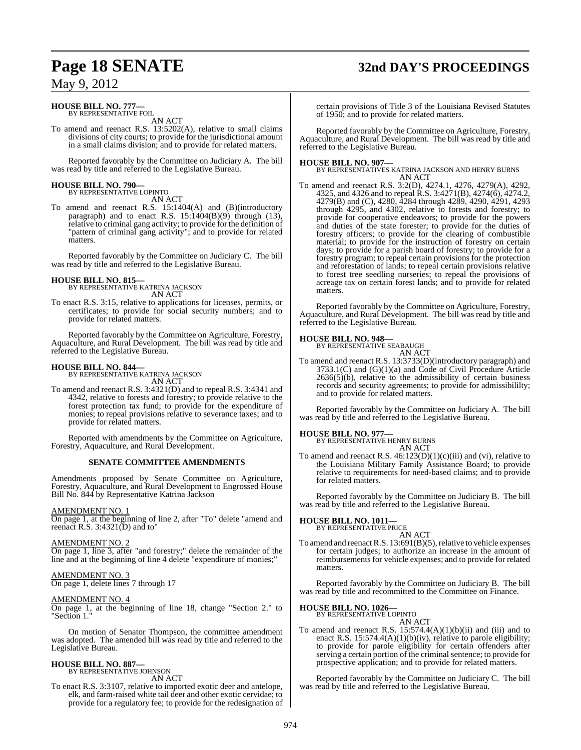## **Page 18 SENATE 32nd DAY'S PROCEEDINGS**

### May 9, 2012

### **HOUSE BILL NO. 777—** BY REPRESENTATIVE FOIL

AN ACT

To amend and reenact R.S. 13:5202(A), relative to small claims divisions of city courts; to provide for the jurisdictional amount in a small claims division; and to provide for related matters.

Reported favorably by the Committee on Judiciary A. The bill was read by title and referred to the Legislative Bureau.

## **HOUSE BILL NO. 790—** BY REPRESENTATIVE LOPINTO

AN ACT

To amend and reenact R.S. 15:1404(A) and (B)(introductory paragraph) and to enact R.S. 15:1404(B)(9) through (13), relative to criminal gang activity; to provide for the definition of "pattern of criminal gang activity"; and to provide for related matters.

Reported favorably by the Committee on Judiciary C. The bill was read by title and referred to the Legislative Bureau.

#### **HOUSE BILL NO. 815—** BY REPRESENTATIVE KATRINA JACKSON AN ACT

To enact R.S. 3:15, relative to applications for licenses, permits, or certificates; to provide for social security numbers; and to provide for related matters.

Reported favorably by the Committee on Agriculture, Forestry, Aquaculture, and Rural Development. The bill was read by title and referred to the Legislative Bureau.

## **HOUSE BILL NO. 844—** BY REPRESENTATIVE KATRINA JACKSON

AN ACT To amend and reenact R.S. 3:4321(D) and to repeal R.S. 3:4341 and 4342, relative to forests and forestry; to provide relative to the forest protection tax fund; to provide for the expenditure of monies; to repeal provisions relative to severance taxes; and to provide for related matters.

Reported with amendments by the Committee on Agriculture, Forestry, Aquaculture, and Rural Development.

#### **SENATE COMMITTEE AMENDMENTS**

Amendments proposed by Senate Committee on Agriculture, Forestry, Aquaculture, and Rural Development to Engrossed House Bill No. 844 by Representative Katrina Jackson

#### AMENDMENT NO. 1

On page 1, at the beginning of line 2, after "To" delete "amend and reenact R.S.  $3:4321(D)$  and to"

#### AMENDMENT NO. 2

On page 1, line 3, after "and forestry;" delete the remainder of the line and at the beginning of line 4 delete "expenditure of monies;"

### AMENDMENT NO. 3

On page 1, delete lines 7 through 17

#### AMENDMENT NO. 4

On page 1, at the beginning of line 18, change "Section 2." to "Section 1.

On motion of Senator Thompson, the committee amendment was adopted. The amended bill was read by title and referred to the Legislative Bureau.

## **HOUSE BILL NO. 887—** BY REPRESENTATIVE JOHNSON

AN ACT

To enact R.S. 3:3107, relative to imported exotic deer and antelope, elk, and farm-raised white tail deer and other exotic cervidae; to provide for a regulatory fee; to provide for the redesignation of certain provisions of Title 3 of the Louisiana Revised Statutes of 1950; and to provide for related matters.

Reported favorably by the Committee on Agriculture, Forestry, Aquaculture, and Rural Development. The bill was read by title and referred to the Legislative Bureau.

#### **HOUSE BILL NO. 907—**

BY REPRESENTATIVES KATRINA JACKSON AND HENRY BURNS AN ACT

To amend and reenact R.S. 3:2(D), 4274.1, 4276, 4279(A), 4292, 4325, and 4326 and to repeal R.S. 3:4271(B), 4274(6), 4274.2, 4279(B) and (C), 4280, 4284 through 4289, 4290, 4291, 4293 through 4295, and 4302, relative to forests and forestry; to provide for cooperative endeavors; to provide for the powers and duties of the state forester; to provide for the duties of forestry officers; to provide for the clearing of combustible material; to provide for the instruction of forestry on certain days; to provide for a parish board of forestry; to provide for a forestry program; to repeal certain provisions for the protection and reforestation of lands; to repeal certain provisions relative to forest tree seedling nurseries; to repeal the provisions of acreage tax on certain forest lands; and to provide for related matters.

Reported favorably by the Committee on Agriculture, Forestry, Aquaculture, and Rural Development. The bill was read by title and referred to the Legislative Bureau.

#### **HOUSE BILL NO. 948—**

BY REPRESENTATIVE SEABAUGH AN ACT

To amend and reenact R.S. 13:3733(D)(introductory paragraph) and 3733.1(C) and (G)(1)(a) and Code of Civil Procedure Article  $2636(5)(b)$ , relative to the admissibility of certain business records and security agreements; to provide for admissibililty; and to provide for related matters.

Reported favorably by the Committee on Judiciary A. The bill was read by title and referred to the Legislative Bureau.

## **HOUSE BILL NO. 977—** BY REPRESENTATIVE HENRY BURNS

AN ACT

To amend and reenact R.S.  $46:123(D)(1)(c)(iii)$  and (vi), relative to the Louisiana Military Family Assistance Board; to provide relative to requirements for need-based claims; and to provide for related matters.

Reported favorably by the Committee on Judiciary B. The bill was read by title and referred to the Legislative Bureau.

#### **HOUSE BILL NO. 1011—**

BY REPRESENTATIVE PRICE

AN ACT To amend and reenact R.S. 13:691(B)(5), relative to vehicle expenses for certain judges; to authorize an increase in the amount of reimbursements for vehicle expenses; and to provide for related matters.

Reported favorably by the Committee on Judiciary B. The bill was read by title and recommitted to the Committee on Finance.

#### **HOUSE BILL NO. 1026—**

BY REPRESENTATIVE LOPINTO AN ACT

To amend and reenact R.S.  $15:574.4(A)(1)(b)(ii)$  and (iii) and to enact R.S. 15:574.4(A)(1)(b)(iv), relative to parole eligibility; to provide for parole eligibility for certain offenders after serving a certain portion of the criminal sentence; to provide for prospective application; and to provide for related matters.

Reported favorably by the Committee on Judiciary C. The bill was read by title and referred to the Legislative Bureau.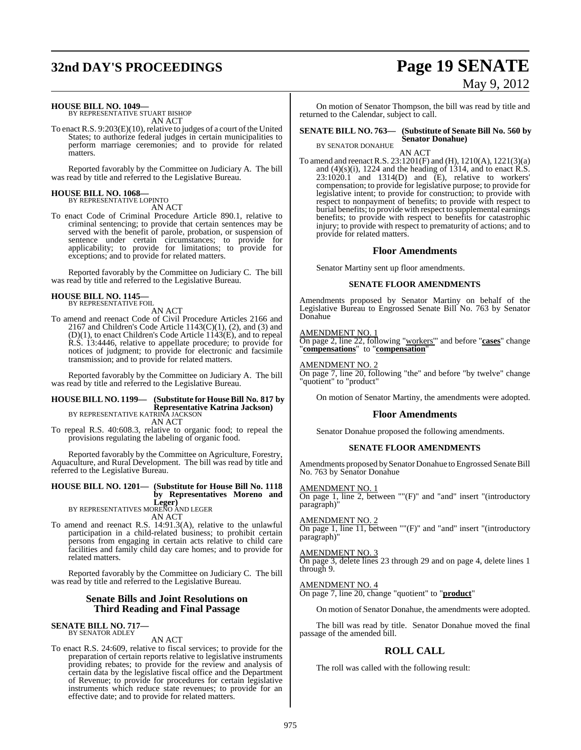## **32nd DAY'S PROCEEDINGS Page 19 SENATE**

# May 9, 2012

#### **HOUSE BILL NO. 1049—**

BY REPRESENTATIVE STUART BISHOP AN ACT

To enact R.S. 9:203(E)(10), relative to judges of a court of the United States; to authorize federal judges in certain municipalities to perform marriage ceremonies; and to provide for related matters.

Reported favorably by the Committee on Judiciary A. The bill was read by title and referred to the Legislative Bureau.

### **HOUSE BILL NO. 1068—** BY REPRESENTATIVE LOPINTO

AN ACT

To enact Code of Criminal Procedure Article 890.1, relative to criminal sentencing; to provide that certain sentences may be served with the benefit of parole, probation, or suspension of sentence under certain circumstances; to provide for applicability; to provide for limitations; to provide for exceptions; and to provide for related matters.

Reported favorably by the Committee on Judiciary C. The bill was read by title and referred to the Legislative Bureau.

## **HOUSE BILL NO. 1145—** BY REPRESENTATIVE FOIL

AN ACT

To amend and reenact Code of Civil Procedure Articles 2166 and 2167 and Children's Code Article  $1143(C)(1)$ , (2), and (3) and  $(D)(1)$ , to enact Children's Code Article 1143 $(E)$ , and to repeal R.S. 13:4446, relative to appellate procedure; to provide for notices of judgment; to provide for electronic and facsimile transmission; and to provide for related matters.

Reported favorably by the Committee on Judiciary A. The bill was read by title and referred to the Legislative Bureau.

### **HOUSE BILL NO. 1199— (Substitute for HouseBill No. 817 by Representative Katrina Jackson)** BY REPRESENTATIVE KATRINA JACKSON

AN ACT

To repeal R.S. 40:608.3, relative to organic food; to repeal the provisions regulating the labeling of organic food.

Reported favorably by the Committee on Agriculture, Forestry, Aquaculture, and Rural Development. The bill was read by title and referred to the Legislative Bureau.

### **HOUSE BILL NO. 1201— (Substitute for House Bill No. 1118 by Representatives Moreno and Leger)** BY REPRESENTATIVES MORENO AND LEGER

AN ACT To amend and reenact R.S. 14:91.3(A), relative to the unlawful participation in a child-related business; to prohibit certain persons from engaging in certain acts relative to child care facilities and family child day care homes; and to provide for related matters.

Reported favorably by the Committee on Judiciary C. The bill was read by title and referred to the Legislative Bureau.

### **Senate Bills and Joint Resolutions on Third Reading and Final Passage**

**SENATE BILL NO. 717—** BY SENATOR ADLEY

AN ACT

To enact R.S. 24:609, relative to fiscal services; to provide for the preparation of certain reports relative to legislative instruments providing rebates; to provide for the review and analysis of certain data by the legislative fiscal office and the Department of Revenue; to provide for procedures for certain legislative instruments which reduce state revenues; to provide for an effective date; and to provide for related matters.

On motion of Senator Thompson, the bill was read by title and returned to the Calendar, subject to call.

#### **SENATE BILL NO. 763— (Substitute of Senate Bill No. 560 by Senator Donahue)**

BY SENATOR DONAHUE AN ACT

To amend and reenact R.S. 23:1201(F) and (H), 1210(A), 1221(3)(a) and  $(4)(s)(i)$ , 1224 and the heading of 1314, and to enact R.S.  $23:1020.1$  and  $1314(D)$  and  $(E)$ , relative to workers' compensation; to provide for legislative purpose; to provide for legislative intent; to provide for construction; to provide with respect to nonpayment of benefits; to provide with respect to burial benefits; to provide with respect to supplemental earnings benefits; to provide with respect to benefits for catastrophic injury; to provide with respect to prematurity of actions; and to provide for related matters.

#### **Floor Amendments**

Senator Martiny sent up floor amendments.

#### **SENATE FLOOR AMENDMENTS**

Amendments proposed by Senator Martiny on behalf of the Legislative Bureau to Engrossed Senate Bill No. 763 by Senator Donahue

#### AMENDMENT NO. 1

On page 2, line 22, following "workers'" and before "**cases**" change "**compensations**" to "**compensation**"

#### AMENDMENT NO. 2

On page 7, line 20, following "the" and before "by twelve" change "quotient" to "product"

On motion of Senator Martiny, the amendments were adopted.

#### **Floor Amendments**

Senator Donahue proposed the following amendments.

#### **SENATE FLOOR AMENDMENTS**

Amendments proposed by Senator Donahue to Engrossed Senate Bill No. 763 by Senator Donahue

#### AMENDMENT NO. 1

On page 1, line 2, between ""(F)" and "and" insert "(introductory paragraph)

#### AMENDMENT NO. 2

On page 1, line 11, between ""(F)" and "and" insert "(introductory paragraph)"

#### AMENDMENT NO. 3

On page 3, delete lines 23 through 29 and on page 4, delete lines 1 through 9.

#### AMENDMENT NO. 4

On page 7, line 20, change "quotient" to "**product**"

On motion of Senator Donahue, the amendments were adopted.

The bill was read by title. Senator Donahue moved the final passage of the amended bill.

### **ROLL CALL**

The roll was called with the following result: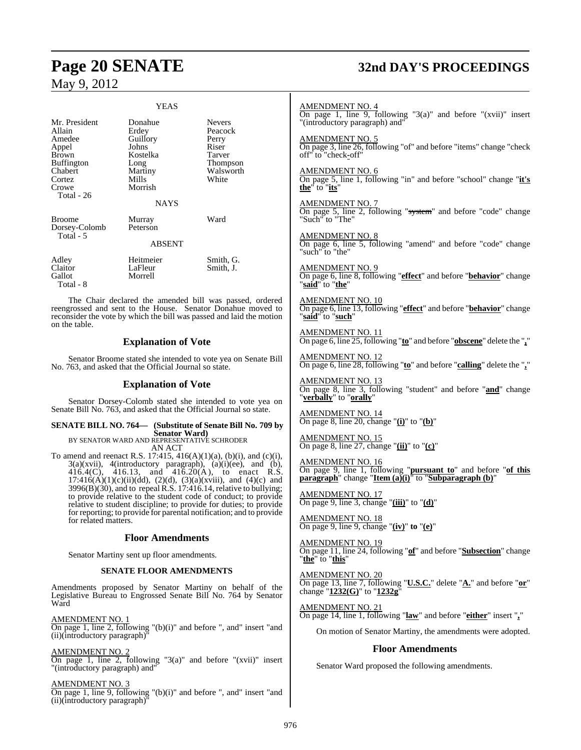on the table.

|                                                                                                                      | YEAS                                                                                                    |                                                                                        |
|----------------------------------------------------------------------------------------------------------------------|---------------------------------------------------------------------------------------------------------|----------------------------------------------------------------------------------------|
| Mr. President<br>Allain<br>Amedee<br>Appel<br>Brown<br><b>Buffington</b><br>Chabert<br>Cortez<br>Crowe<br>Total - 26 | Donahue<br>Erdey<br>Guillory<br>Johns<br>Kostelka<br>Long<br>Martiny<br>Mills<br>Morrish<br><b>NAYS</b> | <b>Nevers</b><br>Peacock<br>Perry<br>Riser<br>Tarver<br>Thompson<br>Walsworth<br>White |
| Broome<br>Dorsey-Colomb<br>Total - 5                                                                                 | Murray<br>Peterson<br><b>ABSENT</b>                                                                     | Ward                                                                                   |
| Adley<br>Claitor                                                                                                     | Heitmeier<br>LaFleur                                                                                    | Smith, G.<br>Smith, J.                                                                 |

Gallot Morrell Total - 8 The Chair declared the amended bill was passed, ordered reengrossed and sent to the House. Senator Donahue moved to reconsider the vote by which the bill was passed and laid the motion

### **Explanation of Vote**

Senator Broome stated she intended to vote yea on Senate Bill No. 763, and asked that the Official Journal so state.

### **Explanation of Vote**

Senator Dorsey-Colomb stated she intended to vote yea on Senate Bill No. 763, and asked that the Official Journal so state.

### **SENATE BILL NO. 764— (Substitute of Senate Bill No. 709 by Senator Ward)** BY SENATOR WARD AND REPRESENTATIVE SCHRODER

AN ACT To amend and reenact R.S. 17:415,  $416(A)(1)(a)$ ,  $(b)(i)$ , and  $(c)(i)$ ,  $3(a)(xvii)$ ,  $4(introductor)$  paragraph),  $(a)(i)(ee)$ , and  $(b)$ , 416.4(C), 416.13, and 416.20(A), to enact R.S.  $17:416(A)(1)(c)(ii)(dd), (2)(d), (3)(a)(xviii), and (4)(c) and$ 3996(B)(30), and to repeal R.S. 17:416.14, relative to bullying; to provide relative to the student code of conduct; to provide relative to student discipline; to provide for duties; to provide for reporting; to provide for parental notification; and to provide for related matters.

#### **Floor Amendments**

Senator Martiny sent up floor amendments.

#### **SENATE FLOOR AMENDMENTS**

Amendments proposed by Senator Martiny on behalf of the Legislative Bureau to Engrossed Senate Bill No. 764 by Senator Ward

AMENDMENT NO. 1  $\overline{\text{On page 1, line 2, following}}$  "(b)(i)" and before ", and" insert "and (ii)(introductory paragraph)"

AMENDMENT NO. 2 On page 1, line 2, following "3(a)" and before " $(xvii)$ " insert "(introductory paragraph) and"

AMENDMENT NO. 3  $\overline{\text{On page 1, line 9, following}}$  "(b)(i)" and before ", and" insert "and (ii)(introductory paragraph)

## **Page 20 SENATE 32nd DAY'S PROCEEDINGS**

AMENDMENT NO. 4 On page 1, line 9, following "3(a)" and before "(xvii)" insert "(introductory paragraph) and" AMENDMENT NO. 5 On page 3, line 26, following "of" and before "items" change "check off" to "check**-**off" AMENDMENT NO. 6 On page 5, line 1, following "in" and before "school" change "**it's the**" to "**its**" AMENDMENT NO. 7 On page 5, line 2, following "system" and before "code" change "Such" to "The" AMENDMENT NO. 8 On page 6, line 5, following "amend" and before "code" change "such" to "the" AMENDMENT NO. 9 On page 6, line 8, following "**effect**" and before "**behavior**" change "**said**" to "**the**" AMENDMENT NO. 10 On page 6, line 13, following "**effect**" and before "**behavior**" change "**said**" to "**such**" AMENDMENT NO. 11 On page 6, line 25, following "**to**" and before "**obscene**" delete the "**,**" AMENDMENT NO. 12 On page 6, line 28, following "**to**" and before "**calling**" delete the "**,**" AMENDMENT NO. 13 On page 8, line 3, following "student" and before "**and**" change "**verbally**" to "**orally**" AMENDMENT NO. 14 On page 8, line 20, change "**(i)**" to "**(b)**" AMENDMENT NO. 15 On page 8, line 27, change "**(ii)**" to "**(c)**" AMENDMENT NO. 16 On page 9, line 1, following "**pursuant to**" and before "**of this paragraph**" change "**Item (a)(i)**" to "**Subparagraph (b)**" AMENDMENT NO. 17 On page 9, line 3, change "**(iii)**" to "**(d)**" AMENDMENT NO. 18 On page 9, line 9, change "**(iv)**" **to** "**(e)**" AMENDMENT NO. 19 On page 11, line 24, following "**of**" and before "**Subsection**" change "**the**" to "**this**" AMENDMENT NO. 20 On page 13, line 7, following "**U.S.C.**" delete "**A.**" and before "**or**" change "**1232(G)**" to "**1232g**" AMENDMENT NO. 21 On page 14, line 1, following "**law**" and before "**either**" insert "**,**" On motion of Senator Martiny, the amendments were adopted. **Floor Amendments**

Senator Ward proposed the following amendments.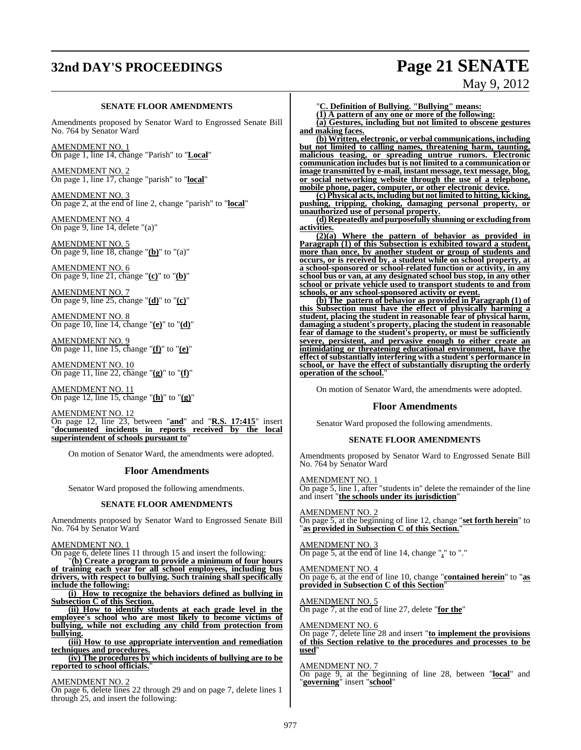## **32nd DAY'S PROCEEDINGS Page 21 SENATE**

#### **SENATE FLOOR AMENDMENTS**

Amendments proposed by Senator Ward to Engrossed Senate Bill No. 764 by Senator Ward

AMENDMENT NO. 1 On page 1, line 14, change "Parish" to "**Local**"

AMENDMENT NO. 2 On page 1, line 17, change "parish" to "**local**"

AMENDMENT NO. 3 On page 2, at the end of line 2, change "parish" to "**local**"

AMENDMENT NO. 4 On page 9, line 14, delete "(a)"

AMENDMENT NO. 5 On page 9, line 18, change "**(b)**" to "(a)"

AMENDMENT NO. 6 On page 9, line 21, change "**(c)**" to "**(b)**"

AMENDMENT NO. 7 On page 9, line 25, change "**(d)**" to "**(c)**"

AMENDMENT NO. 8 On page 10, line 14, change "**(e)**" to "**(d)**"

AMENDMENT NO. 9 On page 11, line 15, change "**(f)**" to "**(e)**"

AMENDMENT NO. 10 On page 11, line 22, change "**(g)**" to "**(f)**"

AMENDMENT NO. 11 On page 12, line 15, change "**(h)**" to "**(g)**"

AMENDMENT NO. 12 On page 12, line 23, between "**and**" and "**R.S. 17:415**" insert "**documented incidents in reports received by the local superintendent of schools pursuant to**"

On motion of Senator Ward, the amendments were adopted.

#### **Floor Amendments**

Senator Ward proposed the following amendments.

#### **SENATE FLOOR AMENDMENTS**

Amendments proposed by Senator Ward to Engrossed Senate Bill No. 764 by Senator Ward

AMENDMENT NO. 1

On page 6, delete lines 11 through 15 and insert the following:

"**(b) Create a program to provide a minimum of four hours of training each year for all school employees, including bus drivers, with respect to bullying. Such training shall specifically include the following:**

**(i) How to recognize the behaviors defined as bullying in Subsection C of this Section.**

**(ii) How to identify students at each grade level in the employee's school who are most likely to become victims of bullying, while not excluding any child from protection from bullying.**

**(iii) How to use appropriate intervention and remediation techniques and procedures.**

**(iv) The procedures by which incidents of bullying are to be reported to school officials.**"

#### AMENDMENT NO. 2

On page 6, delete lines 22 through 29 and on page 7, delete lines 1 through 25, and insert the following:

"**C. Definition of Bullying. "Bullying" means:**

**(1) A pattern of any one or more of the following:**

**(a) Gestures, including but not limited to obscene gestures and making faces.**

**(b) Written, electronic, or verbal communications, including but not limited to calling names, threatening harm, taunting, malicious teasing, or spreading untrue rumors. Electronic communication includes but is not limited to a communication or image transmitted by e-mail, instant message, text message, blog, or social networking website through the use of a telephone, mobile phone, pager, computer, or other electronic device.**

**(c) Physical acts, including but notlimited to hitting, kicking, pushing, tripping, choking, damaging personal property, or unauthorized use of personal property.**

**(d) Repeatedly and purposefully shunning or excluding from activities.**

**(2)(a) Where the pattern of behavior as provided in Paragraph (1) of this Subsection is exhibited toward a student, more than once, by another student or group of students and occurs, or is received by, a student while on school property, at a school-sponsored or school-related function or activity, in any school bus or van, at any designated school bus stop, in any other school or private vehicle used to transport students to and from schools, or any school-sponsored activity or event.**

**(b) The pattern of behavior as provided in Paragraph (1) of this Subsection must have the effect of physically harming a student, placing the student in reasonable fear of physical harm, damaging a student's property, placing the student in reasonable fear of damage to the student's property, or must be sufficiently severe, persistent, and pervasive enough to either create an intimidating or threatening educational environment, have the effect ofsubstantially interfering with a student's performance in school, or have the effect of substantially disrupting the orderly operation of the school.**"

On motion of Senator Ward, the amendments were adopted.

#### **Floor Amendments**

Senator Ward proposed the following amendments.

#### **SENATE FLOOR AMENDMENTS**

Amendments proposed by Senator Ward to Engrossed Senate Bill No. 764 by Senator Ward

AMENDMENT NO. 1 On page 5, line 1, after "students in" delete the remainder of the line and insert "**the schools under its jurisdiction**"

AMENDMENT NO. 2 On page 5, at the beginning of line 12, change "**set forth herein**" to "**as provided in Subsection C of this Section.**"

AMENDMENT NO. 3 On page 5, at the end of line 14, change "**.**" to "."

AMENDMENT NO. 4 On page 6, at the end of line 10, change "**contained herein**" to "**as provided in Subsection C of this Section**"

AMENDMENT NO. 5 On page 7, at the end of line 27, delete "**for the**"

#### AMENDMENT NO. 6

On page 7, delete line 28 and insert "**to implement the provisions of this Section relative to the procedures and processes to be used**"

#### AMENDMENT NO. 7

On page 9, at the beginning of line 28, between "**local**" and "**governing**" insert "**school**"

# May 9, 2012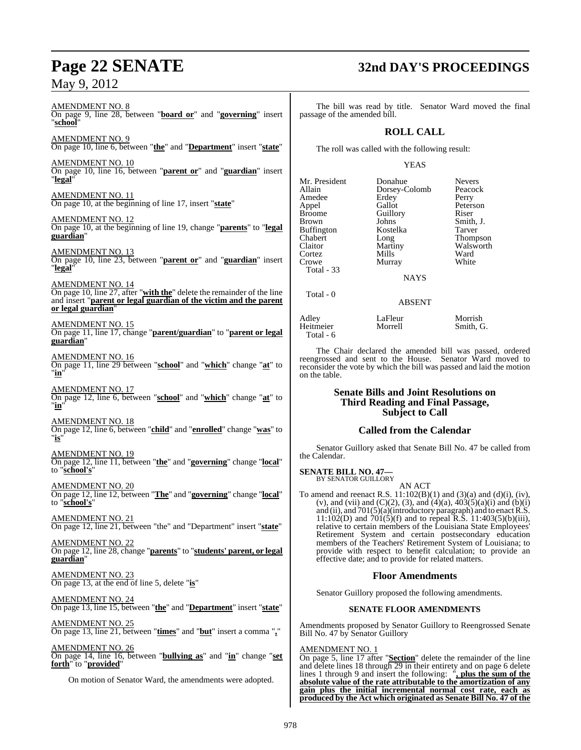#### AMENDMENT NO. 8 On page 9, line 28, between "**board or**" and "**governing**" insert "**school**"

AMENDMENT NO. 9 On page 10, line 6, between "**the**" and "**Department**" insert "**state**"

AMENDMENT NO. 10 On page 10, line 16, between "**parent or**" and "**guardian**" insert "**legal**"

AMENDMENT NO. 11 On page 10, at the beginning of line 17, insert "**state**"

AMENDMENT NO. 12 On page 10, at the beginning of line 19, change "**parents**" to "**legal guardian**"

AMENDMENT NO. 13 On page 10, line 23, between "**parent or**" and "**guardian**" insert "**legal**"

AMENDMENT NO. 14 On page 10, line 27, after "**with the**" delete the remainder of the line and insert "**parent or legal guardian of the victim and the parent or legal guardian**"

AMENDMENT NO. 15 On page 11, line 17, change "**parent/guardian**" to "**parent or legal guardian**"

AMENDMENT NO. 16 On page 11, line 29 between "**school**" and "**which**" change "**at**" to "**in**"

AMENDMENT NO. 17 On page 12, line 6, between "**school**" and "**which**" change "**at**" to "**in**"

AMENDMENT NO. 18 On page 12, line 6, between "**child**" and "**enrolled**" change "**was**" to "**is**"

AMENDMENT NO. 19 On page 12, line 11, between "**the**" and "**governing**" change "**local**" to "**school's**"

AMENDMENT NO. 20 On page 12, line 12, between "**The**" and "**governing**" change "**local**" to "**school's**"

AMENDMENT NO. 21 On page 12, line 21, between "the" and "Department" insert "**state**"

AMENDMENT NO. 22 On page 12, line 28, change "**parents**" to "**students' parent, or legal guardian**"

AMENDMENT NO. 23 On page 13, at the end of line 5, delete "**is**"

AMENDMENT NO. 24 On page 13, line 15, between "**the**" and "**Department**" insert "**state**"

AMENDMENT NO. 25 On page 13, line 21, between "**times**" and "**but**" insert a comma "**,**"

AMENDMENT NO. 26 On page 14, line 16, between "**bullying as**" and "**in**" change "**set forth**" to "**provided**"

On motion of Senator Ward, the amendments were adopted.

## **Page 22 SENATE 32nd DAY'S PROCEEDINGS**

The bill was read by title. Senator Ward moved the final passage of the amended bill.

### **ROLL CALL**

The roll was called with the following result:

#### YEAS

Mr. President Donahue Nevers<br>Allain Dorsey-Colomb Peacock Amedee Erdey Perry<br>
Annel Gallot Peterson Appel<br>Broome Broome Guillory Riser<br>Brown Johns Smith Buffington Koste<br>Chabert Long Chabert Long Thompson<br>Claitor Martiny Walsworth Claitor Martiny Walsworth<br>
Cortez Mills Ward Cortez Mills Ward<br>Crowe Murray White Murray Total - 33

Dorsey-Colomb Peaco<br>Erdey Perry Johns Smith, J.<br>Kostelka Tarver

NAYS

#### ABSENT

Adley LaFleur Morrish Heitmeier Total - 6

Total - 0

The Chair declared the amended bill was passed, ordered reengrossed and sent to the House. Senator Ward moved to reconsider the vote by which the bill was passed and laid the motion on the table.

#### **Senate Bills and Joint Resolutions on Third Reading and Final Passage, Subject to Call**

### **Called from the Calendar**

Senator Guillory asked that Senate Bill No. 47 be called from the Calendar.

**SENATE BILL NO. 47—** BY SENATOR GUILLORY

AN ACT

To amend and reenact R.S.  $11:102(B)(1)$  and  $(3)(a)$  and  $(d)(i)$ ,  $(iv)$ , (v), and (vii) and (C)(2), (3), and (4)(a),  $403(5)(a)(i)$  and (b)(i) and (ii), and 701(5)(a)(introductory paragraph) and to enact R.S. 11:102(D) and 701(5)(f) and to repeal R.S. 11:403(5)(b)(iii), relative to certain members of the Louisiana State Employees' Retirement System and certain postsecondary education members of the Teachers' Retirement System of Louisiana; to provide with respect to benefit calculation; to provide an effective date; and to provide for related matters.

### **Floor Amendments**

Senator Guillory proposed the following amendments.

### **SENATE FLOOR AMENDMENTS**

Amendments proposed by Senator Guillory to Reengrossed Senate Bill No. 47 by Senator Guillory

#### AMENDMENT NO. 1

On page 5, line 17 after "**Section**" delete the remainder of the line and delete lines 18 through 29 in their entirety and on page 6 delete lines 1 through 9 and insert the following: "**, plus the sum of the absolute value of the rate attributable to the amortization of any gain plus the initial incremental normal cost rate, each as produced by the Act which originated as Senate Bill No. 47 of the**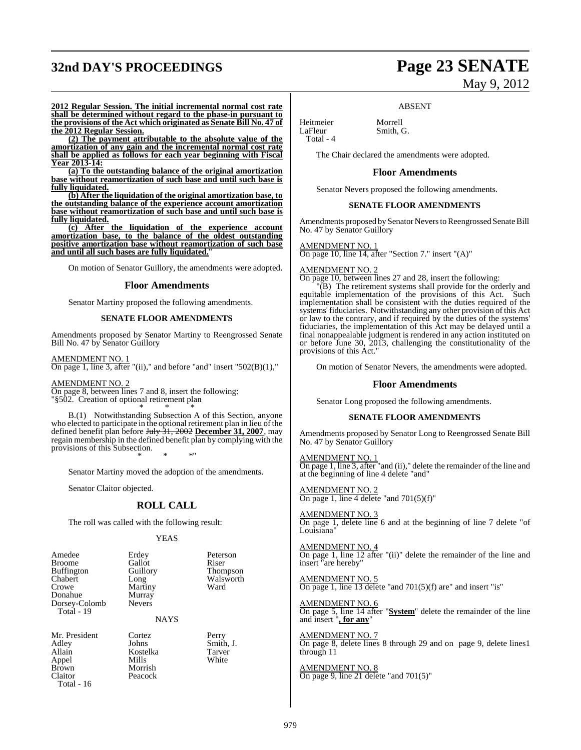## **32nd DAY'S PROCEEDINGS Page 23 SENATE**

# May 9, 2012

**2012 Regular Session. The initial incremental normal cost rate shall be determined without regard to the phase-in pursuant to the provisions of the Act which originated as Senate Bill No. 47 of the 2012 Regular Session.**

**(2) The payment attributable to the absolute value of the amortization of any gain and the incremental normal cost rate shall be applied as follows for each year beginning with Fiscal Year 2013-14:**

**(a) To the outstanding balance of the original amortization base without reamortization of such base and until such base is fully liquidated.**

**(b) After the liquidation of the original amortization base, to the outstanding balance of the experience account amortization base without reamortization of such base and until such base is fully liquidated.**

**(c) After the liquidation of the experience account amortization base, to the balance of the oldest outstanding positive amortization base without reamortization of such base and until all such bases are fully liquidated.**"

On motion of Senator Guillory, the amendments were adopted.

#### **Floor Amendments**

Senator Martiny proposed the following amendments.

#### **SENATE FLOOR AMENDMENTS**

Amendments proposed by Senator Martiny to Reengrossed Senate Bill No. 47 by Senator Guillory

AMENDMENT NO. 1 On page 1, line 3, after "(ii)," and before "and" insert " $502(B)(1)$ ,"

AMENDMENT NO. 2 On page 8, between lines 7 and 8, insert the following:

"§502. Creation of optional retirement plan \* \* \*

B.(1) Notwithstanding Subsection A of this Section, anyone who elected to participate in the optional retirement plan in lieu of the defined benefit plan before July 31, 2002 **December 31, 2007**, may regain membership in the defined benefit plan by complying with the provisions of this Subsection. \* \* \*"

Senator Martiny moved the adoption of the amendments.

Senator Claitor objected.

#### **ROLL CALL**

The roll was called with the following result:

Morrish<br>Peacock

#### YEAS

| Amedee            | Erdey         | Peterson      |
|-------------------|---------------|---------------|
| <b>Broome</b>     | Gallot        | Riser         |
| <b>Buffington</b> | Guillory      | <b>Thomps</b> |
| Chabert           | Long          | Walswor       |
| Crowe             | Martiny       | Ward          |
| Donahue           | Murray        |               |
| Dorsey-Colomb     | <b>Nevers</b> |               |
| Total - 19        |               |               |
|                   |               |               |

Gallot<br>Guillory Guillory Thompson<br>
Long Walsworth Martiny Murray

**NAYS** 

Mr. President Cortez Perry<br>Adley Johns Smith Adley Johns Smith, J. Allain Kostelka Tarver Appel Mills<br>Brown Morris Claitor Total - 16

Walsworth<br>Ward

Heitmeier Morrell<br>LaFleur Smith. Total - 4

The Chair declared the amendments were adopted.

Smith, G.

#### **Floor Amendments**

ABSENT

Senator Nevers proposed the following amendments.

#### **SENATE FLOOR AMENDMENTS**

Amendments proposed by Senator Nevers to Reengrossed Senate Bill No. 47 by Senator Guillory

AMENDMENT NO. 1

On page 10, line 14, after "Section 7." insert "(A)"

#### AMENDMENT NO. 2

On page 10, between lines 27 and 28, insert the following:

"(B) The retirement systems shall provide for the orderly and equitable implementation of the provisions of this Act. implementation shall be consistent with the duties required of the systems'fiduciaries. Notwithstanding any other provision of this Act or law to the contrary, and if required by the duties of the systems' fiduciaries, the implementation of this Act may be delayed until a final nonappealable judgment is rendered in any action instituted on or before June 30, 2013, challenging the constitutionality of the provisions of this Act."

On motion of Senator Nevers, the amendments were adopted.

#### **Floor Amendments**

Senator Long proposed the following amendments.

#### **SENATE FLOOR AMENDMENTS**

Amendments proposed by Senator Long to Reengrossed Senate Bill No. 47 by Senator Guillory

AMENDMENT NO. 1 On page 1, line 3, after "and (ii)," delete the remainder of the line and at the beginning of line 4 delete "and"

AMENDMENT NO. 2 On page 1, line 4 delete "and  $701(5)(f)$ "

AMENDMENT NO. 3 On page 1, delete line 6 and at the beginning of line 7 delete "of Louisiana'

AMENDMENT NO. 4 On page 1, line 12 after "(ii)" delete the remainder of the line and insert "are hereby"

AMENDMENT NO. 5 On page 1, line 13 delete "and 701(5)(f) are" and insert "is"

AMENDMENT NO. 6 On page 5, line 14 after "**System**" delete the remainder of the line and insert "**, for any**"

AMENDMENT NO. 7 On page 8, delete lines 8 through 29 and on page 9, delete lines1 through 11

AMENDMENT NO. 8 On page 9, line 21 delete "and 701(5)"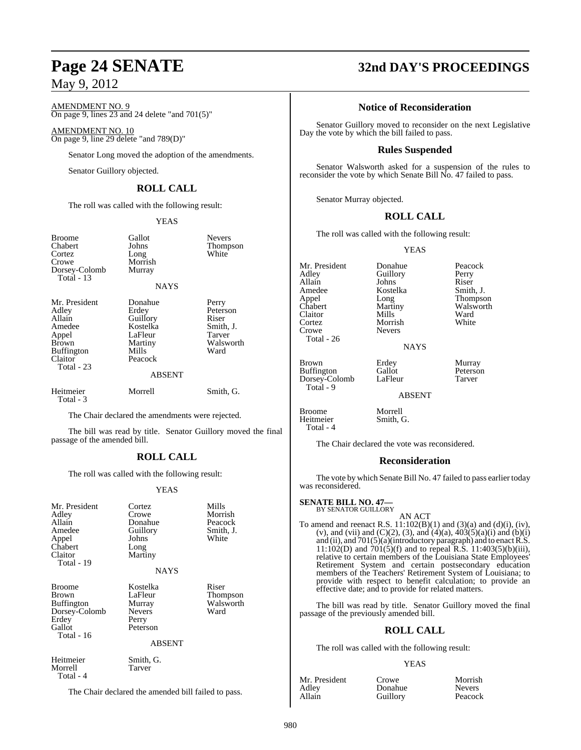AMENDMENT NO. 9 On page 9, lines 23 and 24 delete "and 701(5)"

AMENDMENT NO. 10 On page 9, line 29 delete "and 789(D)"

Senator Long moved the adoption of the amendments.

Senator Guillory objected.

### **ROLL CALL**

The roll was called with the following result:

YEAS

| <b>Broome</b><br>Chabert<br>Cortez<br>Crowe<br>Dorsey-Colomb<br>Total $-13$                                       | Gallot<br>Johns<br>Long<br>Morrish<br>Murray<br>NAYS                                                | <b>Nevers</b><br><b>Thompson</b><br>White                              |
|-------------------------------------------------------------------------------------------------------------------|-----------------------------------------------------------------------------------------------------|------------------------------------------------------------------------|
| Mr. President<br>Adley<br>Allain<br>Amedee<br>Appel<br><b>Brown</b><br><b>Buffington</b><br>Claitor<br>Total - 23 | Donahue<br>Erdey<br>Guillory<br>Kostelka<br>LaFleur<br>Martiny<br>Mills<br>Peacock<br><b>ABSENT</b> | Perry<br>Peterson<br>Riser<br>Smith, J.<br>Tarver<br>Walsworth<br>Ward |
| Heitmeier<br>Total - 3                                                                                            | Morrell                                                                                             | Smith, G.                                                              |

The Chair declared the amendments were rejected.

The bill was read by title. Senator Guillory moved the final passage of the amended bill.

### **ROLL CALL**

The roll was called with the following result:

#### YEAS

| Mr. President<br>Adley<br>Allain<br>Amedee<br>Appel<br>Chabert<br>Claitor<br>Total - 19       | Cortez<br>Crowe<br>Donahue<br>Guillory<br>Johns<br>Long<br>Martiny<br><b>NAYS</b>    | Mills<br>Morrish<br>Peacock<br>Smith, J.<br>White |
|-----------------------------------------------------------------------------------------------|--------------------------------------------------------------------------------------|---------------------------------------------------|
| <b>Broome</b><br>Brown<br><b>Buffington</b><br>Dorsey-Colomb<br>Erdey<br>Gallot<br>Total - 16 | Kostelka<br>LaFleur<br>Murray<br><b>Nevers</b><br>Perry<br>Peterson<br><b>ABSENT</b> | Riser<br><b>Thompson</b><br>Walsworth<br>Ward     |
| Heitmeier<br>Morrell<br>Total - 4                                                             | Smith, G.<br>Tarver                                                                  |                                                   |

The Chair declared the amended bill failed to pass.

## **Page 24 SENATE 32nd DAY'S PROCEEDINGS**

### **Notice of Reconsideration**

Senator Guillory moved to reconsider on the next Legislative Day the vote by which the bill failed to pass.

### **Rules Suspended**

Senator Walsworth asked for a suspension of the rules to reconsider the vote by which Senate Bill No. 47 failed to pass.

Senator Murray objected.

#### **ROLL CALL**

The roll was called with the following result:

Kostelka<br>Long

YEAS

Guillory Perry<br>Johns Riser

Mr. President Donahue Peacock<br>Adley Guillory Perry Allain Johns Riser<br>Amedee Kostelka Smith, J. Appel Long Thompson Claitor Mills Ward<br>Cortez Morrish White Crowe Total - 26

Dorsey-Colomb Total - 9

Heitmeier Total - 4 Morrish<br>Nevers

Martiny Walsworth<br>
Mills Ward

NAYS

Brown Erdey Murray<br>Buffington Gallot Peterson Buffington Gallot Peterson<br>Dorsey-Colomb LaFleur Tarver

ABSENT

Broome<br>
Heitmeier Morrell<br>
Smith, G.

The Chair declared the vote was reconsidered.

#### **Reconsideration**

The vote by which Senate Bill No. 47 failed to pass earlier today was reconsidered.

#### **SENATE BILL NO. 47—**

BY SENATOR GUILLORY AN ACT

To amend and reenact R.S.  $11:102(B)(1)$  and  $(3)(a)$  and  $(d)(i)$ ,  $(iv)$ , (v), and (vii) and (C)(2), (3), and (4)(a),  $403(5)(a)(i)$  and (b)(i) and (ii), and 701(5)(a)(introductory paragraph) and to enact R.S. 11:102(D) and 701(5)(f) and to repeal R.S. 11:403(5)(b)(iii), relative to certain members of the Louisiana State Employees' Retirement System and certain postsecondary education members of the Teachers' Retirement System of Louisiana; to provide with respect to benefit calculation; to provide an effective date; and to provide for related matters.

The bill was read by title. Senator Guillory moved the final passage of the previously amended bill.

### **ROLL CALL**

The roll was called with the following result:

#### YEAS

| Mr. President | Crowe    | Morrish       |
|---------------|----------|---------------|
| Adley         | Donahue  | <b>Nevers</b> |
| Allain        | Guillory | Peacock       |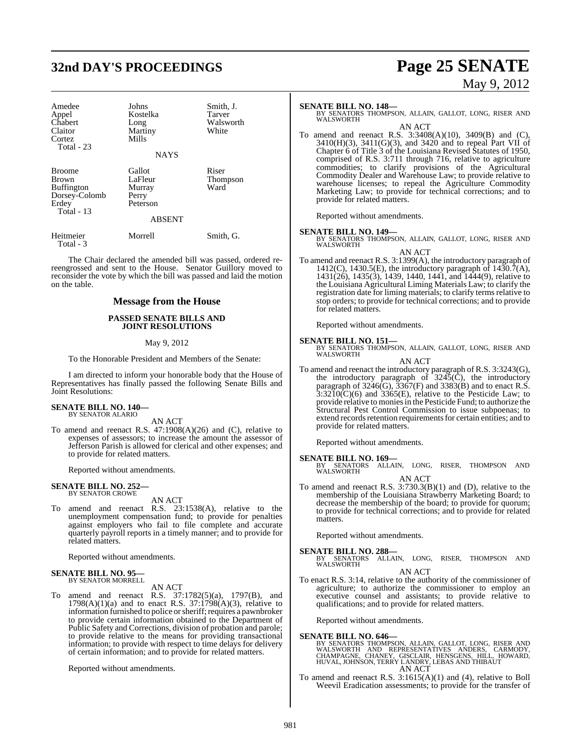## **32nd DAY'S PROCEEDINGS Page 25 SENATE**

# May 9, 2012

Amedee Johns Smith, J.<br>Appel Kostelka Tarver Appel Kostelka<br>Chabert Long Chabert Long Walsworth<br>Claitor Martiny White Cortez. Total - 23

Martiny<br>Mills

#### **NAYS**

| <b>Broome</b><br><b>Brown</b><br><b>Buffington</b><br>Dorsey-Colomb<br>Erdey<br>Total $-13$ | Gallot<br>LaFleur<br>Murray<br>Perry<br>Peterson<br><b>ABSENT</b> | Riser<br>Thompson<br>Ward |
|---------------------------------------------------------------------------------------------|-------------------------------------------------------------------|---------------------------|
| Heitmeier                                                                                   | Morrell                                                           | Smith, G.                 |
| Total - 3                                                                                   |                                                                   |                           |

The Chair declared the amended bill was passed, ordered rereengrossed and sent to the House. Senator Guillory moved to reconsider the vote by which the bill was passed and laid the motion on the table.

#### **Message from the House**

#### **PASSED SENATE BILLS AND JOINT RESOLUTIONS**

#### May 9, 2012

To the Honorable President and Members of the Senate:

I am directed to inform your honorable body that the House of Representatives has finally passed the following Senate Bills and Joint Resolutions:

#### **SENATE BILL NO. 140—** BY SENATOR ALARIO

AN ACT

To amend and reenact R.S.  $47:1908(A)(26)$  and (C), relative to expenses of assessors; to increase the amount the assessor of Jefferson Parish is allowed for clerical and other expenses; and to provide for related matters.

Reported without amendments.

### **SENATE BILL NO. 252—** BY SENATOR CROWE

AN ACT

To amend and reenact R.S. 23:1538(A), relative to the unemployment compensation fund; to provide for penalties against employers who fail to file complete and accurate quarterly payroll reports in a timely manner; and to provide for related matters.

Reported without amendments.

#### **SENATE BILL NO. 95—** BY SENATOR MORRELL

#### AN ACT

To amend and reenact R.S. 37:1782(5)(a), 1797(B), and  $1798(A)(1)(a)$  and to enact R.S.  $37:1798(A)(3)$ , relative to information furnished to police or sheriff; requires a pawnbroker to provide certain information obtained to the Department of Public Safety and Corrections, division of probation and parole; to provide relative to the means for providing transactional information; to provide with respect to time delays for delivery of certain information; and to provide for related matters.

Reported without amendments.

#### **SENATE BILL NO. 148—**

- BY SENATORS THOMPSON, ALLAIN, GALLOT, LONG, RISER AND WALSWORTH AN ACT
- To amend and reenact R.S. 3:3408(A)(10), 3409(B) and (C), 3410(H)(3), 3411(G)(3), and 3420 and to repeal Part VII of Chapter 6 of Title 3 of the Louisiana Revised Statutes of 1950, comprised of R.S. 3:711 through 716, relative to agriculture commodities; to clarify provisions of the Agricultural Commodity Dealer and Warehouse Law; to provide relative to warehouse licenses; to repeal the Agriculture Commodity Marketing Law; to provide for technical corrections; and to provide for related matters.

Reported without amendments.

- **SENATE BILL NO. 149—**<br>BY SENATORS THOMPSON, ALLAIN, GALLOT, LONG, RISER AND WALSWORTH
- AN ACT To amend and reenact R.S. 3:1399(A), the introductory paragraph of 1412(C), 1430.5(E), the introductory paragraph of  $1430.7(A)$ , 1431(26), 1435(3), 1439, 1440, 1441, and 1444(9), relative to the Louisiana Agricultural Liming Materials Law; to clarify the registration date for liming materials; to clarify terms relative to stop orders; to provide for technical corrections; and to provide for related matters.

Reported without amendments.

**SENATE BILL NO. 151—** BY SENATORS THOMPSON, ALLAIN, GALLOT, LONG, RISER AND WALSWORTH

AN ACT

To amend and reenact the introductory paragraph of R.S. 3:3243(G), the introductory paragraph of  $3245(\hat{C})$ , the introductory paragraph of  $3246\text{(G)}$ ,  $3367\text{(F)}$  and  $3383\text{(B)}$  and to enact R.S.  $3:3210(\text{C})(6)$  and  $3365(\text{E})$ , relative to the Pesticide Law; to provide relative to moniesin the Pesticide Fund; to authorize the Structural Pest Control Commission to issue subpoenas; to extend records retention requirements for certain entities; and to provide for related matters.

Reported without amendments.

**SENATE BILL NO. 169—**<br>BY SENATORS ALLAIN, LONG, RISER, THOMPSON AND<br>WALSWORTH

AN ACT

To amend and reenact R.S. 3:730.3(B)(1) and (D), relative to the membership of the Louisiana Strawberry Marketing Board; to decrease the membership of the board; to provide for quorum; to provide for technical corrections; and to provide for related matters.

Reported without amendments.

**SENATE BILL NO. 288—** BY SENATORS ALLAIN, LONG, RISER, THOMPSON AND WALSWORTH

#### AN ACT

To enact R.S. 3:14, relative to the authority of the commissioner of agriculture; to authorize the commissioner to employ an executive counsel and assistants; to provide relative to qualifications; and to provide for related matters.

Reported without amendments.

### **SENATE BILL NO. 646—**

BY SENATORS THOMPSON, ALLAIN, GALLOT, LONG, RISER AND<br>WALSWORTH AND REPRESENTATIVES ANDERS, CARMODY,<br>CHAMPAGNE, CHANEY, GISCLAIR, HENSGENS, HILL, HOWARD,<br>HUVAL, JOHNSON, TERRY LANDRY, LEBAS AND THIBAUT AN ACT

To amend and reenact R.S. 3:1615(A)(1) and (4), relative to Boll Weevil Eradication assessments; to provide for the transfer of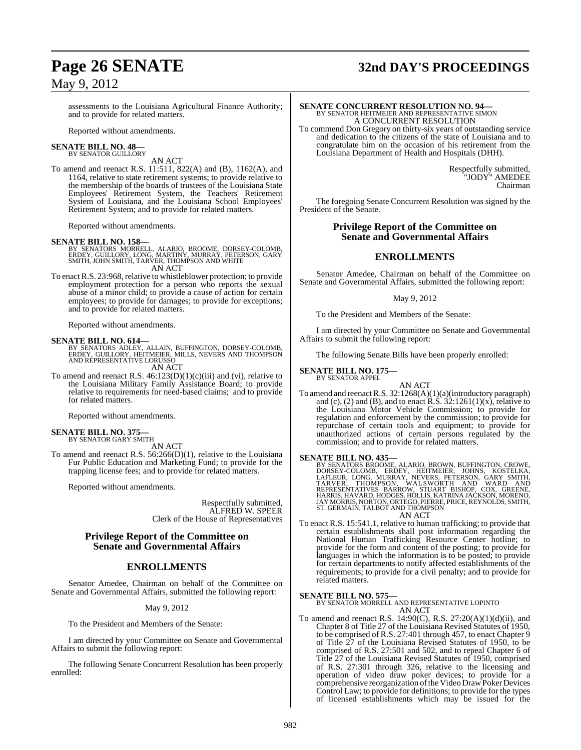## **Page 26 SENATE 32nd DAY'S PROCEEDINGS**

assessments to the Louisiana Agricultural Finance Authority; and to provide for related matters.

Reported without amendments.

#### **SENATE BILL NO. 48—** BY SENATOR GUILLORY

AN ACT

To amend and reenact R.S. 11:511, 822(A) and (B), 1162(A), and 1164, relative to state retirement systems; to provide relative to the membership of the boards of trustees of the Louisiana State Employees' Retirement System, the Teachers' Retirement System of Louisiana, and the Louisiana School Employees' Retirement System; and to provide for related matters.

Reported without amendments.

**SENATE BILL NO. 158—**<br>BY SENATORS MORRELL, ALARIO, BROOME, DORSEY-COLOMB,<br>ERDEY, GUILLORY, LONG, MARTINY, MURRAY, PETERSON, GARY<br>SMITH, JOHN SMITH, TARVER, THOMPSON AND WHITE<br>AN ACT

To enact R.S. 23:968, relative to whistleblower protection; to provide employment protection for a person who reports the sexual abuse of a minor child; to provide a cause of action for certain employees; to provide for damages; to provide for exceptions; and to provide for related matters.

Reported without amendments.

**SENATE BILL NO. 614—**<br>BY SENATORS ADLEY, ALLAIN, BUFFINGTON, DORSEY-COLOMB,<br>ERDEY, GUILLORY, HEITMEIER, MILLS, NEVERS AND THOMPSON<br>AND REPRESENTATIVE LORUSSO AN ACT

To amend and reenact R.S.  $46:123(D)(1)(c)(iii)$  and (vi), relative to the Louisiana Military Family Assistance Board; to provide relative to requirements for need-based claims; and to provide for related matters.

Reported without amendments.

#### **SENATE BILL NO. 375** BY SENATOR GARY SMITH

AN ACT

To amend and reenact R.S.  $56:266(D)(1)$ , relative to the Louisiana Fur Public Education and Marketing Fund; to provide for the trapping license fees; and to provide for related matters.

Reported without amendments.

Respectfully submitted, ALFRED W. SPEER Clerk of the House of Representatives

### **Privilege Report of the Committee on Senate and Governmental Affairs**

### **ENROLLMENTS**

Senator Amedee, Chairman on behalf of the Committee on Senate and Governmental Affairs, submitted the following report:

#### May 9, 2012

To the President and Members of the Senate:

I am directed by your Committee on Senate and Governmental Affairs to submit the following report:

The following Senate Concurrent Resolution has been properly enrolled:

## **SENATE CONCURRENT RESOLUTION NO. 94—**<br>BY SENATOR HEITMEIER AND REPRESENTATIVE SIMON A CONCURRENT RESOLUTION

To commend Don Gregory on thirty-six years of outstanding service and dedication to the citizens of the state of Louisiana and to congratulate him on the occasion of his retirement from the Louisiana Department of Health and Hospitals (DHH).

> Respectfully submitted, "JODY" AMEDEE Chairman

The foregoing Senate Concurrent Resolution was signed by the President of the Senate.

#### **Privilege Report of the Committee on Senate and Governmental Affairs**

#### **ENROLLMENTS**

Senator Amedee, Chairman on behalf of the Committee on Senate and Governmental Affairs, submitted the following report:

#### May 9, 2012

To the President and Members of the Senate:

I am directed by your Committee on Senate and Governmental Affairs to submit the following report:

The following Senate Bills have been properly enrolled:

### **SENATE BILL NO. 175—** BY SENATOR APPEL

AN ACT

To amend and reenactR.S. 32:1268(A)(1)(a)(introductory paragraph) and (c), (2) and (B), and to enact R.S.  $32:1261(1)(x)$ , relative to the Louisiana Motor Vehicle Commission; to provide for regulation and enforcement by the commission; to provide for repurchase of certain tools and equipment; to provide for unauthorized actions of certain persons regulated by the commission; and to provide for related matters.

#### **SENATE BILL NO. 435—**

BY SENATORS BROOME, ALARIO, BROWN, BUFFINGTON, CROWE,<br>DORSEY-COLOMB, ERDEY, HEITMEIER, JOHNS, KOSTELKA,<br>LAFLEUR, LONG, MURRAY, NEUTRIS, PETERSON, GARY SMITH,<br>TARVER, THOMPSON, WALSWORTH AND WARD, MARD<br>REPRESENTATIVES BARRO

AN ACT

To enact R.S. 15:541.1, relative to human trafficking; to provide that certain establishments shall post information regarding the National Human Trafficking Resource Center hotline; to provide for the form and content of the posting; to provide for languages in which the information is to be posted; to provide for certain departments to notify affected establishments of the requirements; to provide for a civil penalty; and to provide for related matters.

**SENATE BILL NO. 575—** BY SENATOR MORRELL AND REPRESENTATIVE LOPINTO AN ACT

To amend and reenact R.S. 14:90(C), R.S. 27:20(A)(1)(d)(ii), and Chapter 8 of Title 27 of the Louisiana Revised Statutes of 1950, to be comprised of R.S. 27:401 through 457, to enact Chapter 9 of Title 27 of the Louisiana Revised Statutes of 1950, to be comprised of R.S. 27:501 and 502, and to repeal Chapter 6 of Title 27 of the Louisiana Revised Statutes of 1950, comprised of R.S. 27:301 through 326, relative to the licensing and operation of video draw poker devices; to provide for a comprehensive reorganization of the Video Draw Poker Devices Control Law; to provide for definitions; to provide for the types of licensed establishments which may be issued for the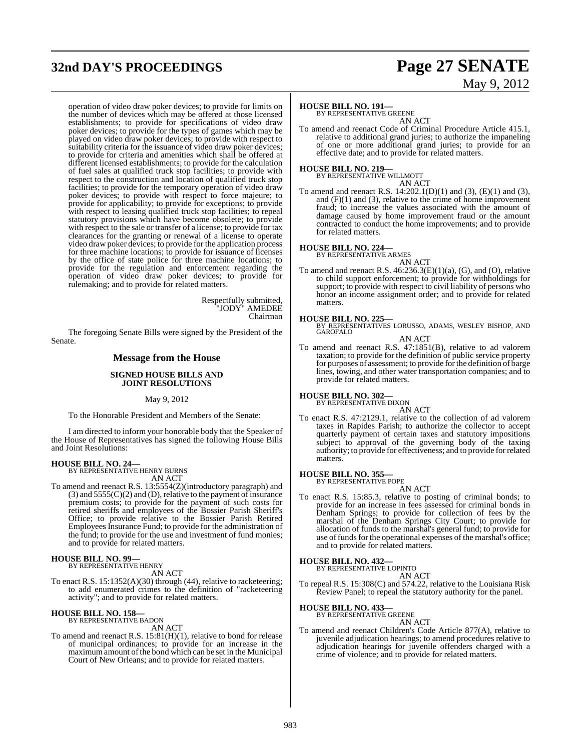## **32nd DAY'S PROCEEDINGS Page 27 SENATE**

# May 9, 2012

operation of video draw poker devices; to provide for limits on the number of devices which may be offered at those licensed establishments; to provide for specifications of video draw poker devices; to provide for the types of games which may be played on video draw poker devices; to provide with respect to suitability criteria for the issuance of video draw poker devices; to provide for criteria and amenities which shall be offered at different licensed establishments; to provide for the calculation of fuel sales at qualified truck stop facilities; to provide with respect to the construction and location of qualified truck stop facilities; to provide for the temporary operation of video draw poker devices; to provide with respect to force majeure; to provide for applicability; to provide for exceptions; to provide with respect to leasing qualified truck stop facilities; to repeal statutory provisions which have become obsolete; to provide with respect to the sale or transfer of a license; to provide for tax clearances for the granting or renewal of a license to operate video draw poker devices; to provide for the application process for three machine locations; to provide for issuance of licenses by the office of state police for three machine locations; to provide for the regulation and enforcement regarding the operation of video draw poker devices; to provide for rulemaking; and to provide for related matters.

> Respectfully submitted, "JODY" AMEDEE Chairman

The foregoing Senate Bills were signed by the President of the Senate.

#### **Message from the House**

#### **SIGNED HOUSE BILLS AND JOINT RESOLUTIONS**

#### May 9, 2012

To the Honorable President and Members of the Senate:

I am directed to inform your honorable body that the Speaker of the House of Representatives has signed the following House Bills and Joint Resolutions:

### **HOUSE BILL NO. 24—** BY REPRESENTATIVE HENRY BURNS

AN ACT

To amend and reenact R.S. 13:5554(Z)(introductory paragraph) and  $(3)$  and  $5555(C)(2)$  and  $(D)$ , relative to the payment of insurance premium costs; to provide for the payment of such costs for retired sheriffs and employees of the Bossier Parish Sheriff's Office; to provide relative to the Bossier Parish Retired Employees Insurance Fund; to provide for the administration of the fund; to provide for the use and investment of fund monies; and to provide for related matters.

### **HOUSE BILL NO. 99—** BY REPRESENTATIVE HENRY

AN ACT

To enact R.S. 15:1352(A)(30) through (44), relative to racketeering; to add enumerated crimes to the definition of "racketeering activity"; and to provide for related matters.

### **HOUSE BILL NO. 158—** BY REPRESENTATIVE BADON

AN ACT

To amend and reenact R.S. 15:81(H)(1), relative to bond for release of municipal ordinances; to provide for an increase in the maximum amount of the bond which can be set in the Municipal Court of New Orleans; and to provide for related matters.

#### **HOUSE BILL NO. 191—**

BY REPRESENTATIVE GREENE

AN ACT To amend and reenact Code of Criminal Procedure Article 415.1, relative to additional grand juries; to authorize the impaneling of one or more additional grand juries; to provide for an effective date; and to provide for related matters.

### **HOUSE BILL NO. 219—** BY REPRESENTATIVE WILLMOTT

AN ACT

To amend and reenact R.S. 14:202.1(D)(1) and (3), (E)(1) and (3), and  $(F)(1)$  and  $(3)$ , relative to the crime of home improvement fraud; to increase the values associated with the amount of damage caused by home improvement fraud or the amount contracted to conduct the home improvements; and to provide for related matters.

### **HOUSE BILL NO. 224—** BY REPRESENTATIVE ARMES

AN ACT

To amend and reenact R.S.  $46:236.3(E)(1)(a)$ , (G), and (O), relative to child support enforcement; to provide for withholdings for support; to provide with respect to civil liability of persons who honor an income assignment order; and to provide for related matters.

#### **HOUSE BILL NO. 225—**

BY REPRESENTATIVES LORUSSO, ADAMS, WESLEY BISHOP, AND GAROFALO AN ACT

To amend and reenact R.S. 47:1851(B), relative to ad valorem taxation; to provide for the definition of public service property for purposes of assessment; to provide forthe definition of barge lines, towing, and other water transportation companies; and to provide for related matters.

**HOUSE BILL NO. 302—** BY REPRESENTATIVE DIXON

AN ACT To enact R.S. 47:2129.1, relative to the collection of ad valorem taxes in Rapides Parish; to authorize the collector to accept quarterly payment of certain taxes and statutory impositions subject to approval of the governing body of the taxing authority; to provide for effectiveness; and to provide forrelated matters.

**HOUSE BILL NO. 355—**

BY REPRESENTATIVE POPE AN ACT

To enact R.S. 15:85.3, relative to posting of criminal bonds; to provide for an increase in fees assessed for criminal bonds in Denham Springs; to provide for collection of fees by the marshal of the Denham Springs City Court; to provide for allocation of funds to the marshal's general fund; to provide for use of funds for the operational expenses of the marshal's office; and to provide for related matters.

#### **HOUSE BILL NO. 432—**

BY REPRESENTATIVE LOPINTO

AN ACT To repeal R.S. 15:308(C) and 574.22, relative to the Louisiana Risk

Review Panel; to repeal the statutory authority for the panel.

#### **HOUSE BILL NO. 433—**

BY REPRESENTATIVE GREENE AN ACT

To amend and reenact Children's Code Article 877(A), relative to juvenile adjudication hearings; to amend procedures relative to adjudication hearings for juvenile offenders charged with a crime of violence; and to provide for related matters.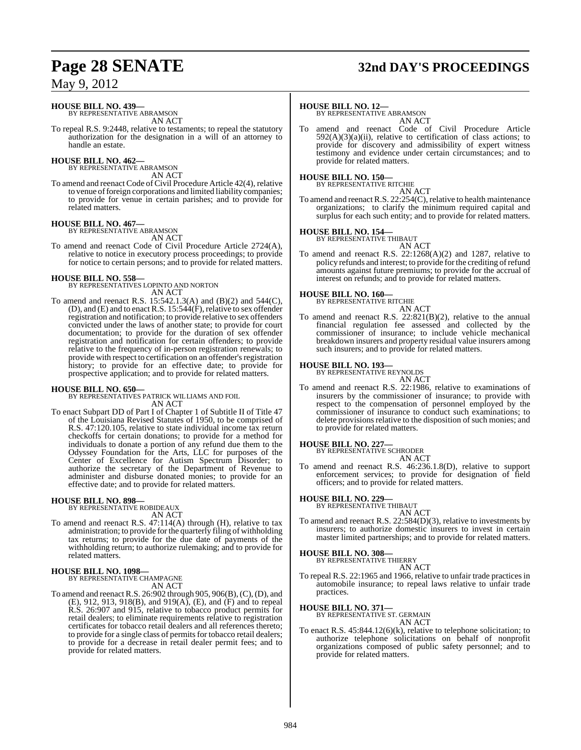### **HOUSE BILL NO. 439—**

BY REPRESENTATIVE ABRAMSON AN ACT

To repeal R.S. 9:2448, relative to testaments; to repeal the statutory authorization for the designation in a will of an attorney to handle an estate.

### **HOUSE BILL NO. 462—** BY REPRESENTATIVE ABRAMSON

AN ACT

To amend and reenact Code of Civil Procedure Article 42(4), relative to venue of foreign corporations and limited liability companies; to provide for venue in certain parishes; and to provide for related matters.

## **HOUSE BILL NO. 467—** BY REPRESENTATIVE ABRAMSON

AN ACT To amend and reenact Code of Civil Procedure Article 2724(A), relative to notice in executory process proceedings; to provide for notice to certain persons; and to provide for related matters.

**HOUSE BILL NO. 558—** BY REPRESENTATIVES LOPINTO AND NORTON AN ACT

To amend and reenact R.S. 15:542.1.3(A) and (B)(2) and 544(C), (D), and (E) and to enact R.S. 15:544(F), relative to sex offender registration and notification; to provide relative to sex offenders convicted under the laws of another state; to provide for court documentation; to provide for the duration of sex offender registration and notification for certain offenders; to provide relative to the frequency of in-person registration renewals; to provide with respect to certification on an offender's registration history; to provide for an effective date; to provide for prospective application; and to provide for related matters.

### **HOUSE BILL NO. 650—**

BY REPRESENTATIVES PATRICK WILLIAMS AND FOIL AN ACT

To enact Subpart DD of Part I of Chapter 1 of Subtitle II of Title 47 of the Louisiana Revised Statutes of 1950, to be comprised of R.S. 47:120.105, relative to state individual income tax return checkoffs for certain donations; to provide for a method for individuals to donate a portion of any refund due them to the Odyssey Foundation for the Arts, LLC for purposes of the Center of Excellence for Autism Spectrum Disorder; to authorize the secretary of the Department of Revenue to administer and disburse donated monies; to provide for an effective date; and to provide for related matters.

**HOUSE BILL NO. 898—** BY REPRESENTATIVE ROBIDEAUX AN ACT

To amend and reenact R.S. 47:114(A) through (H), relative to tax administration; to provide forthe quarterly filing of withholding tax returns; to provide for the due date of payments of the withholding return; to authorize rulemaking; and to provide for related matters.

## **HOUSE BILL NO. 1098—** BY REPRESENTATIVE CHAMPAGNE

AN ACT

To amend and reenactR.S. 26:902 through 905, 906(B),(C),(D), and (E), 912, 913, 918(B), and 919(A), (E), and (F) and to repeal R.S. 26:907 and 915, relative to tobacco product permits for retail dealers; to eliminate requirements relative to registration certificates for tobacco retail dealers and all references thereto; to provide for a single class of permits for tobacco retail dealers; to provide for a decrease in retail dealer permit fees; and to provide for related matters.

## **Page 28 SENATE 32nd DAY'S PROCEEDINGS**

#### **HOUSE BILL NO. 12—**

BY REPRESENTATIVE ABRAMSON AN ACT

To amend and reenact Code of Civil Procedure Article  $592(A)(3)(a)(ii)$ , relative to certification of class actions; to provide for discovery and admissibility of expert witness testimony and evidence under certain circumstances; and to provide for related matters.

#### **HOUSE BILL NO. 150—**

BY REPRESENTATIVE RITCHIE AN ACT

To amend and reenact R.S. 22:254(C), relative to health maintenance organizations; to clarify the minimum required capital and surplus for each such entity; and to provide for related matters.

## **HOUSE BILL NO. 154—** BY REPRESENTATIVE THIBAUT

AN ACT

To amend and reenact R.S. 22:1268(A)(2) and 1287, relative to policy refunds and interest; to provide forthe crediting ofrefund amounts against future premiums; to provide for the accrual of interest on refunds; and to provide for related matters.

### **HOUSE BILL NO. 160—** BY REPRESENTATIVE RITCHIE

AN ACT

To amend and reenact R.S. 22:821(B)(2), relative to the annual financial regulation fee assessed and collected by the commissioner of insurance; to include vehicle mechanical breakdown insurers and property residual value insurers among such insurers; and to provide for related matters.

**HOUSE BILL NO. 193—** BY REPRESENTATIVE REYNOLDS

- AN ACT To amend and reenact R.S. 22:1986, relative to examinations of
- insurers by the commissioner of insurance; to provide with respect to the compensation of personnel employed by the commissioner of insurance to conduct such examinations; to delete provisions relative to the disposition of such monies; and to provide for related matters.

## **HOUSE BILL NO. 227—** BY REPRESENTATIVE SCHRODER

AN ACT To amend and reenact R.S. 46:236.1.8(D), relative to support enforcement services; to provide for designation of field officers; and to provide for related matters.

## **HOUSE BILL NO. 229—** BY REPRESENTATIVE THIBAUT

AN ACT

To amend and reenact R.S. 22:584(D)(3), relative to investments by insurers; to authorize domestic insurers to invest in certain master limited partnerships; and to provide for related matters.

#### **HOUSE BILL NO. 308—**

BY REPRESENTATIVE THIERRY AN ACT

To repeal R.S. 22:1965 and 1966, relative to unfair trade practices in automobile insurance; to repeal laws relative to unfair trade practices.

**HOUSE BILL NO. 371—** BY REPRESENTATIVE ST. GERMAIN AN ACT

To enact R.S. 45:844.12(6)(k), relative to telephone solicitation; to authorize telephone solicitations on behalf of nonprofit organizations composed of public safety personnel; and to provide for related matters.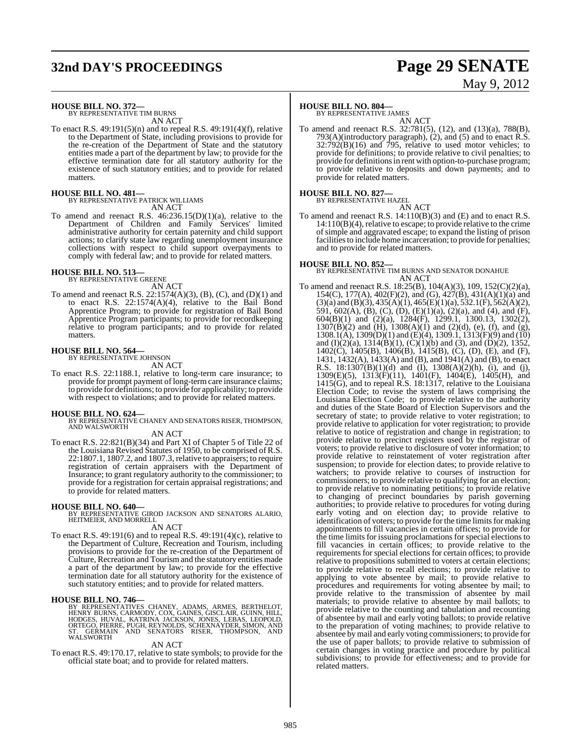## **32nd DAY'S PROCEEDINGS Page 29 SENATE**

# May 9, 2012

**HOUSE BILL NO. 372—** BY REPRESENTATIVE TIM BURNS

AN ACT

To enact R.S. 49:191(5)(n) and to repeal R.S. 49:191(4)(f), relative to the Department of State, including provisions to provide for the re-creation of the Department of State and the statutory entities made a part of the department by law; to provide for the effective termination date for all statutory authority for the existence of such statutory entities; and to provide for related matters.

### **HOUSE BILL NO. 481—** BY REPRESENTATIVE PATRICK WILLIAMS

AN ACT

To amend and reenact R.S.  $46:236.15(D)(1)(a)$ , relative to the Department of Children and Family Services' limited administrative authority for certain paternity and child support actions; to clarify state law regarding unemployment insurance collections with respect to child support overpayments to comply with federal law; and to provide for related matters.

### **HOUSE BILL NO. 513—** BY REPRESENTATIVE GREENE

AN ACT

To amend and reenact R.S.  $22:1574(A)(3)$ , (B), (C), and (D)(1) and to enact R.S.  $22:1574(A)(4)$ , relative to the Bail Bond Apprentice Program; to provide for registration of Bail Bond Apprentice Program participants; to provide for recordkeeping relative to program participants; and to provide for related matters.

### **HOUSE BILL NO. 564—** BY REPRESENTATIVE JOHNSON

AN ACT

To enact R.S. 22:1188.1, relative to long-term care insurance; to provide for prompt payment of long-term care insurance claims; to provide for definitions; to provide for applicability; to provide with respect to violations; and to provide for related matters.

**HOUSE BILL NO. 624—** BY REPRESENTATIVE CHANEY AND SENATORS RISER, THOMPSON, AND WALSWORTH

#### AN ACT

To enact R.S. 22:821(B)(34) and Part XI of Chapter 5 of Title 22 of the Louisiana Revised Statutes of 1950, to be comprised of R.S. 22:1807.1, 1807.2, and 1807.3, relative to appraisers; to require registration of certain appraisers with the Department of Insurance; to grant regulatory authority to the commissioner; to provide for a registration for certain appraisal registrations; and to provide for related matters.

**HOUSE BILL NO. 640—** BY REPRESENTATIVE GIROD JACKSON AND SENATORS ALARIO, HEITMEIER, AND MORRELL

#### AN ACT

To enact R.S. 49:191(6) and to repeal R.S. 49:191(4)(c), relative to the Department of Culture, Recreation and Tourism, including provisions to provide for the re-creation of the Department of Culture, Recreation and Tourism and the statutory entities made a part of the department by law; to provide for the effective termination date for all statutory authority for the existence of such statutory entities; and to provide for related matters.

#### **HOUSE BILL NO. 746—**

BY REPRESENTATIVES CHANEY, ADAMS, ARMES, BERTHELOT,<br>HENRY BURNS, CARMODY, COX, GAINES, GISCLAIR, GUINN, HILL,<br>HODGES, HUVAL, KATRINA JACKSON, JONES, LEBAS, LEOPOLD,<br>ORTEGO, PIERRE, PUGH, REYNOLDS, SCHEXNAYDER, SIMON, AND<br>S ST. GERMAIN<br>WALSWORTH

#### AN ACT

To enact R.S. 49:170.17, relative to state symbols; to provide for the official state boat; and to provide for related matters.

### **HOUSE BILL NO. 804—**

BY REPRESENTATIVE JAMES

AN ACT To amend and reenact R.S. 32:781(5), (12), and (13)(a), 788(B), 793(A)(introductory paragraph), (2), and (5) and to enact R.S.  $32:792(B)(16)$  and 795, relative to used motor vehicles; to provide for definitions; to provide relative to civil penalties; to provide for definitions in rent with option-to-purchase program; to provide relative to deposits and down payments; and to provide for related matters.

### **HOUSE BILL NO. 827—** BY REPRESENTATIVE HAZEL

AN ACT To amend and reenact R.S. 14:110(B)(3) and (E) and to enact R.S. 14:110(B)(4), relative to escape; to provide relative to the crime ofsimple and aggravated escape; to expand the listing of prison facilities to include home incarceration; to provide for penalties; and to provide for related matters.

**HOUSE BILL NO. 852—** BY REPRESENTATIVE TIM BURNS AND SENATOR DONAHUE AN ACT

To amend and reenact R.S. 18:25(B), 104(A)(3), 109, 152(C)(2)(a), 154(C), 177(A), 402(F)(2), and (G),  $427(B)$ ,  $431(A)(1)(a)$  and  $(3)(a)$  and  $(B)(3)$ ,  $435(A)(1)$ ,  $465(E)(1)(a)$ ,  $532.1(F)$ ,  $562(A)(2)$ , 591, 602(A), (B), (C), (D), (E)(1)(a), (2)(a), and (4), and (F), 604(B)(1) and (2)(a), 1284(F), 1299.1, 1300.13, 1302(2),  $1307(B)(2)$  and  $(H)$ ,  $1308(A)(1)$  and  $(2)(d)$ ,  $(e)$ ,  $(f)$ , and  $(g)$ ,  $1308.1(A)$ ,  $1309(D)(1)$  and  $(E)(4)$ ,  $1309.1$ ,  $1313(F)(9)$  and  $(10)$ and  $(I)(2)(a)$ , 1314 $(B)(1)$ ,  $(C)(1)(b)$  and  $(3)$ , and  $(D)(2)$ , 1352, 1402(C), 1405(B), 1406(B), 1415(B), (C), (D), (E), and (F), 1431, 1432(A), 1433(A) and (B), and 1941(A) and (B), to enact R.S. 18:1307(B)(1)(d) and (I), 1308(A)(2)(h), (i), and (j), 1309(E)(5), 1313(F)(11), 1401(F), 1404(E), 1405(H), and 1415(G), and to repeal R.S. 18:1317, relative to the Louisiana Election Code; to revise the system of laws comprising the Louisiana Election Code; to provide relative to the authority and duties of the State Board of Election Supervisors and the secretary of state; to provide relative to voter registration; to provide relative to application for voter registration; to provide relative to notice of registration and change in registration; to provide relative to precinct registers used by the registrar of voters; to provide relative to disclosure of voter information; to provide relative to reinstatement of voter registration after suspension; to provide for election dates; to provide relative to watchers; to provide relative to courses of instruction for commissioners; to provide relative to qualifying for an election; to provide relative to nominating petitions; to provide relative to changing of precinct boundaries by parish governing authorities; to provide relative to procedures for voting during early voting and on election day; to provide relative to identification of voters; to provide for the time limits for making appointments to fill vacancies in certain offices; to provide for the time limits for issuing proclamations for special elections to fill vacancies in certain offices; to provide relative to the requirements for special elections for certain offices; to provide relative to propositions submitted to voters at certain elections; to provide relative to recall elections; to provide relative to applying to vote absentee by mail; to provide relative to procedures and requirements for voting absentee by mail; to provide relative to the transmission of absentee by mail materials; to provide relative to absentee by mail ballots; to provide relative to the counting and tabulation and recounting of absentee by mail and early voting ballots; to provide relative to the preparation of voting machines; to provide relative to absentee bymail and early voting commissioners; to provide for the use of paper ballots; to provide relative to submission of certain changes in voting practice and procedure by political subdivisions; to provide for effectiveness; and to provide for related matters.